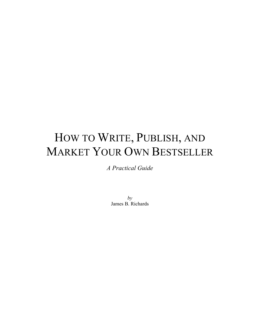# HOW TO WRITE, PUBLISH, AND MARKET YOUR OWN BESTSELLER

*A Practical Guide*

*by* James B. Richards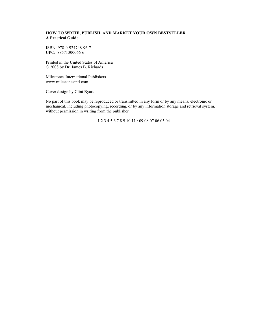#### **HOW TO WRITE, PUBLISH, AND MARKET YOUR OWN BESTSELLER A Practical Guide**

ISBN: 978-0-924748-96-7 UPC: 88571300066-6

Printed in the United States of America © 2008 by Dr. James B. Richards

Milestones International Publishers www.milestonesintl.com

Cover design by Clint Byars

No part of this book may be reproduced or transmitted in any form or by any means, electronic or mechanical, including photocopying, recording, or by any information storage and retrieval system, without permission in writing from the publisher.

1 2 3 4 5 6 7 8 9 10 11 / 09 08 07 06 05 04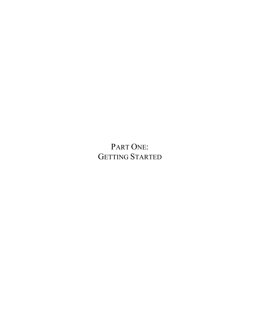PART ONE: GETTING STARTED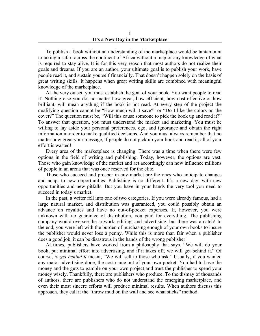To publish a book without an understanding of the marketplace would be tantamount to taking a safari across the continent of Africa without a map or any knowledge of what is required to stay alive. It is for this very reason that most authors do not realize their goals and dreams. If you are an author, your ultimate goal is to publish your work, have people read it, and sustain yourself financially. That doesn't happen solely on the basis of great writing skills. It happens when great writing skills are combined with meaningful knowledge of the marketplace.

At the very outset, you must establish the goal of your book. You want people to read it! Nothing else you do, no matter how great, how efficient, how cost effective or how brilliant, will mean anything if the book is not read. At every step of the project the qualifying question cannot be "How much will I save?" or "Do I like the colors on the cover?" The question must be, "Will this cause someone to pick the book up and read it?" To answer that question, you must understand the market and marketing. You must be willing to lay aside your personal preferences, ego, and ignorance and obtain the right information in order to make qualified decisions. And you must always remember that no matter how great your message, if people do not pick up your book and read it, all of your effort is wasted!

Every area of the marketplace is changing. There was a time when there were few options in the field of writing and publishing. Today, however, the options are vast. Those who gain knowledge of the market and act accordingly can now influence millions of people in an arena that was once reserved for the elite.

Those who succeed and prosper in any market are the ones who anticipate changes and adapt to new opportunities. Publishing is no different. It's a new day, with new opportunities and new pitfalls. But you have in your hands the very tool you need to succeed in today's market.

In the past, a writer fell into one of two categories. If you were already famous, had a large natural market, and distribution was guaranteed, you could possibly obtain an advance on royalties and have no out-of-pocket expenses. If, however, you were unknown with no guarantee of distribution, you paid for everything. The publishing company would oversee the artwork, editing, and advertising, but there was a catch! In the end, you were left with the burden of purchasing enough of your own books to insure the publisher would never lose a penny. While this is more than fair when a publisher does a good job, it can be disastrous in the hands of the wrong publisher!

At times, publishers have worked from a philosophy that says, "We will do your book, put minimal effort into advertising, and if it takes off, we will get behind it." Of course, *to get behind it* meant, "We will sell to those who ask." Usually, if you wanted any major advertising done, the cost came out of your own pocket. You had to have the money and the guts to gamble on your own project and trust the publisher to spend your money wisely. Thankfully, there are publishers who produce. To the dismay of thousands of authors, there are publishers who do not understand the emerging marketplace, and even their most sincere efforts will produce minimal results. When authors discuss this approach, they call it the "throw mud on the wall and see what sticks" method.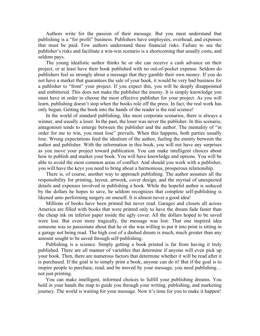Authors write for the passion of their message. But you must understand that publishing is a "for profit" business. Publishers have employees, overhead, and expenses that must be paid. Few authors understand these financial risks. Failure to see the publisher's risks and facilitate a win-win scenario is a shortcoming that usually costs, and seldom pays.

The young idealistic author thinks he or she can receive a cash advance on their project, or at least have their book published with no out-of-pocket expense. Seldom do publishers feel so strongly about a message that they gamble their own money. If you do not have a market that guarantees the sale of your book, it would be very bad business for a publisher to "front" your project. If you expect this, you will be deeply disappointed and embittered. This does not make the publisher the enemy. It is simply knowledge you must have in order to choose the most effective publisher for your project. As you will learn, publishing doesn't stop when the books role off the press. In fact, the real work has only begun. Getting the book into the hands of the reader is the real science!

In the world of standard publishing, like most corporate scenarios, there is always a winner, and usually a loser. In the past, the loser was never the publisher. In this scenario, antagonism tends to emerge between the publisher and the author. The mentality of "in order for me to win, you must lose" prevails. When this happens, both parties usually lose. Wrong expectations feed the idealism of the author, fueling the enmity between the author and publisher. With the information in this book, you will not have any surprises as you move your project toward publication. You can make intelligent choices about how to publish and market your book. You will have knowledge and options. You will be able to avoid the most common areas of conflict. And should you work with a publisher, you will have the keys you need to bring about a harmonious, prosperous relationship.

There is, of course, another way to approach publishing. The author assumes all the responsibility for printing, layout, artwork, cover design, and the myriad of unexpected details and expenses involved in publishing a book. While the hopeful author is seduced by the dollars he hopes to save, he seldom recognizes that complete self-publishing is likened unto performing surgery on oneself. It is almost never a good idea!

Millions of books have been printed but never read. Garages and closets all across America are filled with books that were printed only to have the dream fade faster than the cheap ink on inferior paper inside the ugly cover. All the dollars hoped to be saved were lost. But even more tragically, the message was lost. That one inspired idea someone was so passionate about that he or she was willing to put it into print is sitting in a garage not being read. The high cost of a dashed dream is much, much greater than any amount sought to be saved through self-publishing.

Publishing is a science. Simply getting a book printed is far from having it truly published. There are all manner of variables that determine if anyone will even pick up your book. Then, there are numerous factors that determine whether it will be read after it is purchased. If the goal is to simply print a book, anyone can do it! But if the goal is to inspire people to purchase, read, and be moved by your message, you need publishing… not just printing.

You can make intelligent, informed choices to fulfill your publishing dreams. You hold in your hands the map to guide you through your writing, publishing, and marketing journey. The world is waiting for your message. Now it's time for you to make it happen!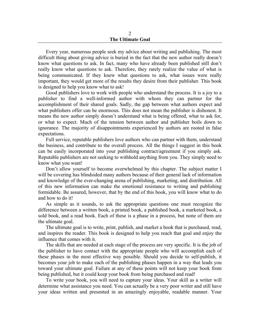#### 2 **The Ultimate Goal**

Every year, numerous people seek my advice about writing and publishing. The most difficult thing about giving advice is buried in the fact that the new author really doesn't know what questions to ask. In fact, many who have already been published still don't really know what questions to ask. Therefore, they rarely realize the value of what is being communicated. If they knew what questions to ask, what issues were really important, they would get more of the results they desire from their publisher. This book is designed to help you know what to ask!

Good publishers love to work with people who understand the process. It is a joy to a publisher to find a well-informed author with whom they can partner for the accomplishment of their shared goals. Sadly, the gap between what authors expect and what publishers offer can be enormous. This does not mean the publisher is dishonest. It means the new author simply doesn't understand what is being offered, what to ask for, or what to expect. Much of the tension between author and publisher boils down to ignorance. The majority of disappointments experienced by authors are rooted in false expectations.

Full service, reputable publishers love authors who can partner with them, understand the business, and contribute to the overall process. All the things I suggest in this book can be easily incorporated into your publishing contract/agreement if you simply ask. Reputable publishers are not seeking to withhold anything from you. They simply need to know what you want!

Don't allow yourself to become overwhelmed by this chapter. The subject matter I will be covering has blindsided many authors because of their general lack of information and knowledge of the ever-changing arena of publishing, marketing, and distribution. All of this new information can make the emotional resistance to writing and publishing formidable. Be assured, however, that by the end of this book, you will know what to do and how to do it!

As simple as it sounds, to ask the appropriate questions one must recognize the difference between a written book, a printed book, a published book, a marketed book, a sold book, and a read book. Each of these is a phase in a process, but none of them are the ultimate goal.

The ultimate goal is to write, print, publish, and market a book that is purchased, read, and inspires the reader. This book is designed to help you reach that goal and enjoy the influence that comes with it.

The skills that are needed at each stage of the process are very specific. It is the job of the publisher to have contact with the appropriate people who will accomplish each of these phases in the most effective way possible. Should you decide to self-publish, it becomes your job to make each of the publishing phases happen in a way that leads you toward your ultimate goal. Failure at any of these points will not keep your book from being published, but it could keep your book from being purchased and read!

To write your book, you will need to capture your ideas. Your skill as a writer will determine what assistance you need. You can actually be a very poor writer and still have your ideas written and presented in an amazingly enjoyable, readable manner. Your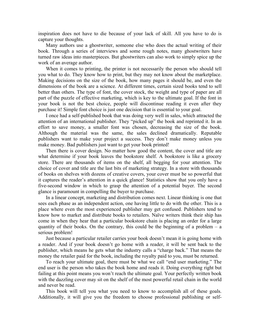inspiration does not have to die because of your lack of skill. All you have to do is capture your thoughts.

Many authors use a ghostwriter, someone else who does the actual writing of their book. Through a series of interviews and some rough notes, many ghostwriters have turned raw ideas into masterpieces. But ghostwriters can also work to simply spice up the work of an average author.

When it comes to printing, the printer is not necessarily the person who should tell you what to do. They know how to print, but they may not know about the marketplace. Making decisions on the size of the book, how many pages it should be, and even the dimensions of the book are a science. At different times, certain sized books tend to sell better than others. The type of font, the cover stock, the weight and type of paper are all part of the puzzle of effective marketing, which is key to the ultimate goal. If the font in your book is not the best choice, people will discontinue reading it even after they purchase it! Simple font choice is just one decision that is essential to your goal.

I once had a self-published book that was doing very well in sales, which attracted the attention of an international publisher. They "picked up" the book and reprinted it. In an effort to save money, a smaller font was chosen, decreasing the size of the book. Although the material was the same, the sales declined dramatically. Reputable publishers want to make your project a success. They don't make money unless you make money. Bad publishers just want to get your book printed!

Then there is cover design. No matter how good the content, the cover and title are what determine if your book leaves the bookstore shelf. A bookstore is like a grocery store. There are thousands of items on the shelf, all begging for your attention. The choice of cover and title are the last bits of marketing strategy. In a store with thousands of books on shelves with dozens of creative covers, your cover must be so powerful that it captures the reader's attention in a quick glance! Statistics show that you only have a five-second window in which to grasp the attention of a potential buyer. The second glance is paramount in compelling the buyer to purchase.

In a linear concept, marketing and distribution comes next. Linear thinking is one that sees each phase as an independent action, one having little to do with the other. This is a place where even the most experienced publisher may get confused. Publishers tend to know how to market and distribute books to retailers. Naïve writers think their ship has come in when they hear that a particular bookstore chain is placing an order for a large quantity of their books. On the contrary, this could be the beginning of a problem  $-$  a serious problem!

Just because a particular retailer carries your book doesn't mean it is going home with a reader. And if your book doesn't go home with a reader, it will be sent back to the publisher, which means he gets what the industry calls a "charge back." That means the money the retailer paid for the book, including the royalty paid to you, must be returned.

To reach your ultimate goal, there must be what we call "end user marketing." The end user is the person who takes the book home and reads it. Doing everything right but failing at this point means you won't reach the ultimate goal. Your perfectly written book with the dazzling cover may sit on the shelf of the most powerful retail chain in the world and never be read.

This book will tell you what you need to know to accomplish all of these goals. Additionally, it will give you the freedom to choose professional publishing or self-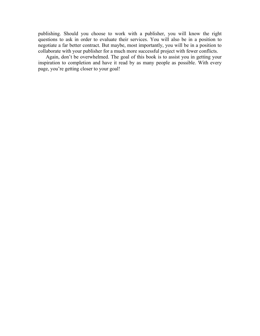publishing. Should you choose to work with a publisher, you will know the right questions to ask in order to evaluate their services. You will also be in a position to negotiate a far better contract. But maybe, most importantly, you will be in a position to collaborate with your publisher for a much more successful project with fewer conflicts.

Again, don't be overwhelmed. The goal of this book is to assist you in getting your inspiration to completion and have it read by as many people as possible. With every page, you're getting closer to your goal!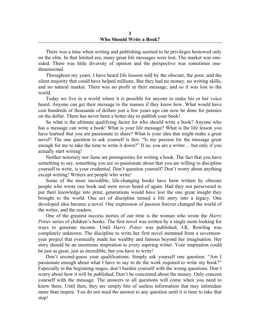There was a time when writing and publishing seemed to be privileges bestowed only on the elite. In that limited era, many great life messages were lost. The market was onesided. There was little diversity of opinion and the perspective was sometimes onedimensional.

Throughout my years, I have heard life lessons told by the obscure, the poor, and the silent majority that could have helped millions. But they had no money, no writing skills, and no natural market. There was no profit in their message, and so it was lost to the world.

Today we live in a world where it is possible for anyone to make his or her voice heard. Anyone can get their message to the masses if they know how. What would have cost hundreds of thousands of dollars just a few years ago can now be done for pennies on the dollar. There has never been a better day to publish your book!

So what is the ultimate qualifying factor for who should write a book? Anyone who has a message can write a book! What is your life message? What is the life lesson you have learned that you are passionate to share? What is your idea that might make a great novel? The one question to ask yourself is this: "Is my passion for the message great enough for me to take the time to write it down?" If so, you are a writer… but only if you actually start writing!

Neither notoriety nor fame are prerequisites for writing a book. The fact that you have something to say, something you are so passionate about that you are willing to discipline yourself to write, is your credential. Don't question yourself! Don't worry about anything except writing! Writers are people who write!

Some of the most incredible, life-changing books have been written by obscure people who wrote one book and were never heard of again. Had they not persevered to put their knowledge into print, generations would have lost the one great insight they brought to the world. One act of discipline turned a life story into a legacy. One developed idea became a novel. One expression of passion forever changed the world of the writer, and the readers.

One of the greatest success stories of our time is the woman who wrote the *Harry Potter* series of children's books. The first novel was written by a single mom looking for ways to generate income. Until *Harry Potter* was published, J.K. Rowling was completely unknown. The discipline to write her first novel stemmed from a seventeenyear project that eventually made her wealthy and famous beyond her imagination. Her story should be an enormous inspiration to every aspiring writer. Your inspiration could be just as great, just as incredible, but you have to write!

Don't second-guess your qualifications. Simply ask yourself one question: "Am I passionate enough about what I have to say to do the work required to write my book?" Especially in the beginning stages, don't burden yourself with the wrong questions. Don't worry about how it will be published. Don't be concerned about the money. Only concern yourself with the message. The answers to all questions will come when you need to know them. Until then, they are simply bits of useless information that may intimidate more than inspire. You do not need the answer to any question until it is time to take that step!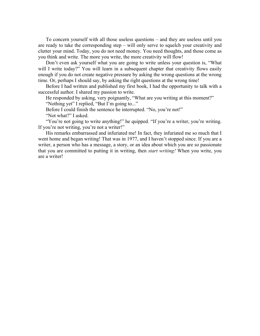To concern yourself with all those useless questions – and they are useless until you are ready to take the corresponding step – will only serve to squelch your creativity and clutter your mind. Today, you do not need money. You need thoughts, and those come as you think and write. The more you write, the more creativity will flow!

Don't even ask yourself what you are going to write unless your question is, "What will I write today?" You will learn in a subsequent chapter that creativity flows easily enough if you do not create negative pressure by asking the wrong questions at the wrong time. Or, perhaps I should say, by asking the right questions at the wrong time!

Before I had written and published my first book, I had the opportunity to talk with a successful author. I shared my passion to write.

He responded by asking, very poignantly, "What are you writing at this moment?" "Nothing yet" I replied, "But I'm going to..."

Before I could finish the sentence he interrupted. "No, you're not!"

"Not what?" I asked.

"You're not going to write anything!" he quipped. "If you're a writer, you're writing. If you're not writing, you're not a writer!"

His remarks embarrassed and infuriated me! In fact, they infuriated me so much that I went home and began writing! That was in 1977, and I haven't stopped since. If you are a writer, a person who has a message, a story, or an idea about which you are so passionate that you are committed to putting it in writing, then *start writing!* When you write, you are a writer!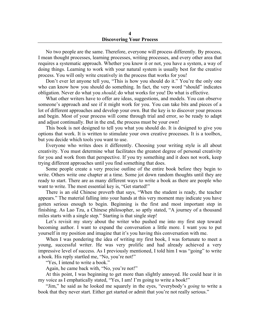No two people are the same. Therefore, everyone will process differently. By process, I mean thought processes, learning processes, writing processes, and every other area that requires a systematic approach. Whether you know it or not, you have a system, a way of doing things. Learning to work with your natural system is usually best for the creative process. You will only write creatively in the process that works for you!

Don't ever let anyone tell you, "This is how you should do it." You're the only one who can know how you should do something. In fact, the very word "should" indicates obligation. Never do what you *should*; do what works for you! Do what is effective.

What other writers have to offer are ideas, suggestions, and models. You can observe someone's approach and see if it might work for you. You can take bits and pieces of a lot of different approaches and develop your own. But the key is to discover your process and begin. Most of your process will come through trial and error, so be ready to adapt and adjust continually. But in the end, the process must be your own!

This book is not designed to tell you what you should do. It is designed to give you options that work. It is written to stimulate your own creative processes. It is a toolbox, but you decide which tools you want to use.

Everyone who writes does it differently. Choosing your writing style is all about creativity. You must determine what facilitates the greatest degree of personal creativity for you and work from that perspective. If you try something and it does not work, keep trying different approaches until you find something that does.

Some people create a very precise outline of the entire book before they begin to write. Others write one chapter at a time. Some jot down random thoughts until they are ready to start. There are as many different ways to write a book as there are people who want to write. The most essential key is, "Get started!"

There is an old Chinese proverb that says, "When the student is ready, the teacher appears." The material falling into your hands at this very moment may indicate you have gotten serious enough to begin. Beginning is the first and most important step in finishing. As Lao Tzu, a Chinese philosopher, so aptly stated, "A journey of a thousand miles starts with a single step." Starting is that single step!

Let's revisit my story about the writer who pushed me into my first step toward becoming author. I want to expand the conversation a little more. I want you to put yourself in my position and imagine that it's you having this conversation with me.

When I was pondering the idea of writing my first book, I was fortunate to meet a young, successful writer. He was very prolific and had already achieved a very impressive level of success. As I previously mentioned, I told him I was "going" to write a book. His reply startled me, "No, you're not!"

"Yes, I intend to write a book."

Again, he came back with, "No, you're not!"

At this point, I was beginning to get more than slightly annoyed. He could hear it in my voice as I emphatically stated, "Yes, I am! I'm going to write a book!"

"Jim," he said as he looked me squarely in the eyes, "everybody's *going* to write a book that they never start. Either get started or admit that you're not really serious."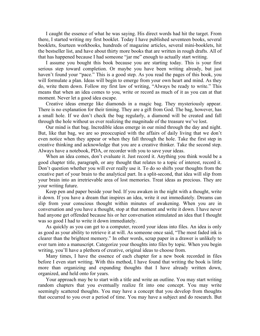I caught the essence of what he was saying. His direct words had hit the target. From there, I started writing my first booklet. Today I have published seventeen books, several booklets, fourteen workbooks, hundreds of magazine articles, several mini-booklets, hit the bestseller list, and have about thirty more books that are written in rough drafts. All of that has happened because I had someone "jar me" enough to actually start writing.

I assume you bought this book because you are starting today. This is your first serious step toward completion. Or maybe you have been writing already, but just haven't found your "pace." This is a good step. As you read the pages of this book, you will formulate a plan. Ideas will begin to emerge from your own heart and mind. As they do, write them down. Follow my first law of writing, "Always be ready to write." This means that when an idea comes to you, write or record as much of it as you can at that moment. Never let a good idea escape.

Creative ideas emerge like diamonds in a magic bag. They mysteriously appear. There is no explanation for their timing. They are a gift from God. The bag, however, has a small hole. If we don't check the bag regularly, a diamond will be created and fall through the hole without us ever realizing the magnitude of the treasure we've lost.

Our mind is that bag. Incredible ideas emerge in our mind through the day and night. But, like that bag, we are so preoccupied with the affairs of daily living that we don't even notice when they appear or when they fall through the hole. Take the first step in creative thinking and acknowledge that you are a creative thinker. Take the second step. Always have a notebook, PDA, or recorder with you to save your ideas.

When an idea comes, don't evaluate it. Just record it. Anything you think would be a good chapter title, paragraph, or any thought that relates to a topic of interest, record it. Don't question whether you will ever really use it. To do so shifts your thoughts from the creative part of your brain to the analytical part. In a split-second, that idea will slip from your brain into an irretrievable area of lost memories. Treat ideas as precious. They are your writing future.

Keep pen and paper beside your bed. If you awaken in the night with a thought, write it down. If you have a dream that inspires an idea, write it out immediately. Dreams can slip from your conscious thought within minutes of awakening. When you are in conversation and you have a thought, stop at that moment and write it down. I have never had anyone get offended because his or her conversation stimulated an idea that I thought was so good I had to write it down immediately.

As quickly as you can get to a computer, record your ideas into files. An idea is only as good as your ability to retrieve it at will. As someone once said, "The most faded ink is clearer than the brightest memory." In other words, scrap paper in a drawer is unlikely to ever turn into a manuscript. Categorize your thoughts into files by topic. When you begin writing, you'll have a plethora of creative, original ideas to choose from.

Many times, I have the essence of each chapter for a new book recorded in files before I even start writing. With this method, I have found that writing the book is little more than organizing and expanding thoughts that I have already written down, organized, and held onto for years.

Your approach may be to start with a title and write an outline. You may start writing random chapters that you eventually realize fit into one concept. You may write seemingly scattered thoughts. You may have a concept that you develop from thoughts that occurred to you over a period of time. You may have a subject and do research. But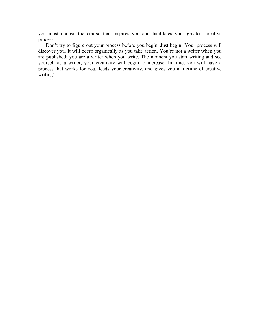you must choose the course that inspires you and facilitates your greatest creative process.

Don't try to figure out your process before you begin. Just begin! Your process will discover you. It will occur organically as you take action. You're not a writer when you are published; you are a writer when you write. The moment you start writing and see yourself as a writer, your creativity will begin to increase. In time, you will have a process that works for you, feeds your creativity, and gives you a lifetime of creative writing!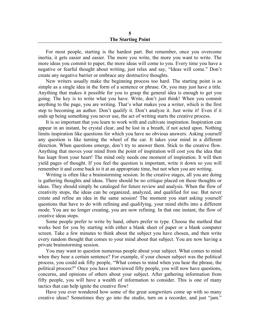For most people, starting is the hardest part. But remember, once you overcome inertia, it gets easier and easier. The more you write, the more you want to write. The more ideas you commit to paper, the more ideas will come to you. Every time you have a negative or fearful thought about writing, just relax and say, "Ideas will come." Don't create any negative barrier or embrace any destructive thoughts.

New writers usually make the beginning process too hard. The starting point is as simple as a single idea in the form of a sentence or phrase. Or, you may just have a title. Anything that makes it possible for you to grasp the general idea is enough to get you going. The key is to write what you have. Write, don't just think! When you commit anything to the page, you are writing. That's what makes you a writer, which is the first step to becoming an author. Don't qualify it. Don't analyze it. Just write it! Even if it ends up being something you never use, the act of writing starts the creative process.

It is so important that you learn to work with and cultivate inspiration. Inspiration can appear in an instant, be crystal clear, and be lost in a breath, if not acted upon. Nothing limits inspiration like questions for which you have no obvious answers. Asking yourself any question is like turning the wheel of the car. It takes your mind in a different direction. When questions emerge, don't try to answer them. Stick to the creative flow. Anything that moves your mind from the point of inspiration will cost you the idea that has leapt from your heart! The mind only needs one moment of inspiration. It will then yield pages of thought. If you feel the question is important, write it down so you will remember it and come back to it at an appropriate time, but not when you are writing.

Writing is often like a brainstorming session. In the creative stages, all you are doing is gathering thoughts and ideas. There should be no critique placed on those thoughts or ideas. They should simply be cataloged for future review and analysis. When the flow of creativity stops, the ideas can be organized, analyzed, and qualified for use. But never create and refine an idea in the same session! The moment you start asking yourself questions that have to do with refining and qualifying, your mind shifts into a different mode. You are no longer creating, you are now refining. In that one instant, the flow of creative ideas stops.

Some people prefer to write by hand, others prefer to type. Choose the method that works best for you by starting with either a blank sheet of paper or a blank computer screen. Take a few minutes to think about the subject you have chosen, and then write every random thought that comes to your mind about that subject. You are now having a private brainstorming session.

You may want to question numerous people about your subject. What comes to mind when they hear a certain sentence? For example, if your chosen subject was the political process, you could ask fifty people, "What comes to mind when you hear the phrase, the political process?" Once you have interviewed fifty people, you will now have questions, concerns, and opinions of others about your subject. After gathering information from fifty people, you will have a wealth of information to consider. This is one of many tactics that can help ignite the creative flow!

Have you ever wondered how some of the great songwriters come up with so many creative ideas? Sometimes they go into the studio, turn on a recorder, and just "jam."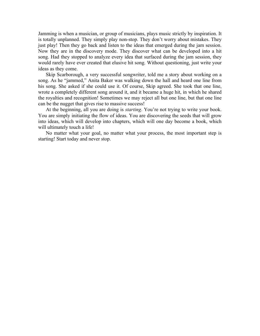Jamming is when a musician, or group of musicians, plays music strictly by inspiration. It is totally unplanned. They simply play non-stop. They don't worry about mistakes. They just play! Then they go back and listen to the ideas that emerged during the jam session. Now they are in the discovery mode. They discover what can be developed into a hit song. Had they stopped to analyze every idea that surfaced during the jam session, they would rarely have ever created that elusive hit song. Without questioning, just write your ideas as they come.

Skip Scarborough, a very successful songwriter, told me a story about working on a song. As he "jammed," Anita Baker was walking down the hall and heard one line from his song. She asked if she could use it. Of course, Skip agreed. She took that one line, wrote a completely different song around it, and it became a huge hit, in which he shared the royalties and recognition! Sometimes we may reject all but one line, but that one line can be the nugget that gives rise to massive success!

At the beginning, all you are doing is *starting*. You're not trying to write your book. You are simply initiating the flow of ideas. You are discovering the seeds that will grow into ideas, which will develop into chapters, which will one day become a book, which will ultimately touch a life!

No matter what your goal, no matter what your process, the most important step is starting! Start today and never stop.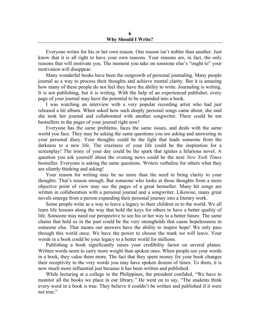#### **6 Why Should I Write?**

Everyone writes for his or her own reason. One reason isn't nobler than another. Just know that it is all right to have your own reasons. Your reasons are, in fact, the only reasons that will motivate you. The moment you take on someone else's "ought to" your motivation will disappear.

Many wonderful books have been the outgrowth of personal journaling. Many people journal as a way to process their thoughts and achieve mental clarity. But it is amazing how many of these people do not feel they have the ability to write. Journaling is writing. It is not publishing, but it is writing. With the help of an experienced publisher, every page of your journal may have the potential to be expanded into a book.

I was watching an interview with a very popular recording artist who had just released a hit album. When asked how such deeply personal songs came about, she said she took her journal and collaborated with another songwriter. There could be ten bestsellers in the pages of your journal right now!

Everyone has the same problems, faces the same issues, and deals with the same world you face. They may be asking the same questions you are asking and answering in your personal diary. Your thoughts could be the light that leads someone from the darkness to a new life. The craziness of your life could be the inspiration for a screenplay! The irony of your day could be the spark that ignites a hilarious novel. A question you ask yourself about the evening news could be the next *New York Times* bestseller. Everyone is asking the same questions. Writers verbalize for others what they are silently thinking and asking!

Your reason for writing may be no more than the need to bring clarity to your thoughts. That's reason enough. But someone who looks at those thoughts from a more objective point of view may see the pages of a great bestseller. Many hit songs are written in collaboration with a personal journal and a songwriter. Likewise, many great novels emerge from a person expanding their personal journey into a literary work.

Some people write as a way to leave a legacy to their children or to the world. We all learn life lessons along the way that hold the keys for others to have a better quality of life. Someone may need our perspective to see his or her way to a better future. The same chains that held us in the past could be the very strongholds that cause hopelessness in someone else. That means our answers have the ability to inspire hope! We only pass through this world once. We have the power to choose the mark we will leave. Your words in a book could be your legacy to a better world for millions.

Publishing a book significantly raises your credibility factor on several planes. Written words seem to carry more weight than spoken ones. When people see your words in a book, they value them more. The fact that they spent money for your book changes their receptivity to the very words you may have spoken dozens of times. To them, it is now much more influential just because it has been written and published.

While lecturing at a college in the Philippines, the president confided, "We have to monitor all the books we place in our library." He went on to say, "The students think every word in a book is true. They believe it couldn't be written and published if it were not true."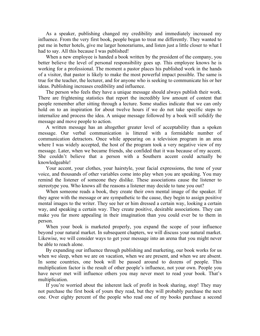As a speaker, publishing changed my credibility and immediately increased my influence. From the very first book, people began to treat me differently. They wanted to put me in better hotels, give me larger honorariums, and listen just a little closer to what I had to say. All this because I was published!

When a new employee is handed a book written by the president of the company, you better believe the level of personal responsibility goes up. This employee knows he is working for a professional. The moment a pastor places his published work in the hands of a visitor, that pastor is likely to make the most powerful impact possible. The same is true for the teacher, the lecturer, and for anyone who is seeking to communicate his or her ideas. Publishing increases credibility and influence.

The person who feels they have a unique message should always publish their work. There are frightening statistics that report the incredibly low amount of content that people remember after sitting through a lecture. Some studies indicate that we can only hold on to an inspiration for about twelve hours if we do not take specific steps to internalize and process the idea. A unique message followed by a book will solidify the message and move people to action.

A written message has an altogether greater level of acceptability than a spoken message. Our verbal communication is littered with a formidable number of communication detractors. Once while appearing on a television program in an area where I was widely accepted, the host of the program took a very negative view of my message. Later, when we became friends, she confided that it was because of my accent. She couldn't believe that a person with a Southern accent could actually be knowledgeable!

Your accent, your clothes, your hairstyle, your facial expressions, the tone of your voice, and thousands of other variables come into play when you are speaking. You may remind the listener of someone they dislike. These associations cause the listener to stereotype you. Who knows all the reasons a listener may decide to tune you out?

When someone reads a book, they create their own mental image of the speaker. If they agree with the message or are sympathetic to the cause, they begin to assign positive mental images to the writer. They see her or him dressed a certain way, looking a certain way, and speaking a certain way. They create positive, desirable associations. They can make you far more appealing in their imagination than you could ever be to them in person.

When your book is marketed properly, you expand the scope of your influence beyond your natural market. In subsequent chapters, we will discuss your natural market. Likewise, we will consider ways to get your message into an arena that you might never be able to reach alone.

By expanding our influence through publishing and marketing, our book works for us when we sleep, when we are on vacation, when we are present, and when we are absent. In some countries, one book will be passed around to dozens of people. This multiplication factor is the result of other people's influence, not your own. People you have never met will influence others you may never meet to read your book. That's multiplication.

If you're worried about the inherent lack of profit in book sharing, stop! They may not purchase the first book of yours they read, but they will probably purchase the next one. Over eighty percent of the people who read one of my books purchase a second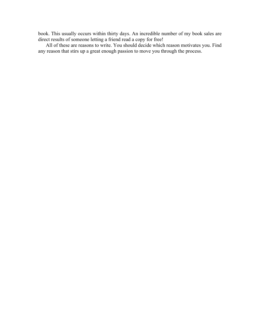book. This usually occurs within thirty days. An incredible number of my book sales are direct results of someone letting a friend read a copy for free!

All of these are reasons to write. You should decide which reason motivates you. Find any reason that stirs up a great enough passion to move you through the process.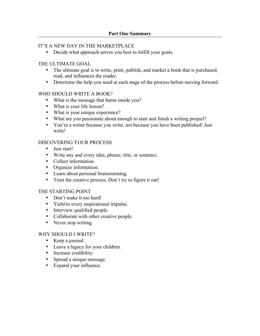## IT'S A NEW DAY IN THE MARKETPLACE

• Decide what approach serves you best to fulfill your goals.

## THE ULTIMATE GOAL

- The ultimate goal is to write, print, publish, and market a book that is purchased, read, and influences the reader.
- Determine the help you need at each stage of the process before moving forward.

# WHO SHOULD WRITE A BOOK?

- What is the message that burns inside you?
- What is your life lesson?
- What is your unique experience?
- What are you passionate about enough to start and finish a writing project?
- You're a writer because you write, not because you have been published! Just write!

# DISCOVERING YOUR PROCESS

- Just start!
- Write any and every idea, phrase, title, or sentence.
- Collect information.
- Organize information.
- Learn about personal brainstorming.
- Trust the creative process. Don't try to figure it out!

# THE STARTING POINT

- Don't make it too hard!
- Yield to every inspirational impulse.
- Interview qualified people.
- Collaborate with other creative people.
- Never stop writing.

# WHY SHOULD I WRITE?

- Keep a journal.
- Leave a legacy for your children.
- Increase credibility.
- Spread a unique message.
- Expand your influence.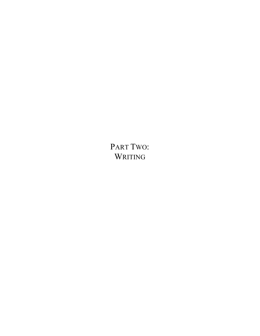PART TWO: WRITING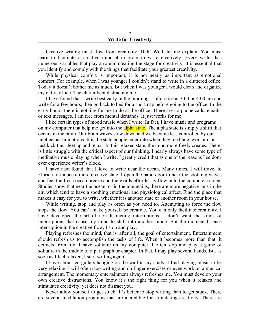### **7 Write for Creativity**

Creative writing must flow from creativity. Duh! Well, let me explain. You must learn to facilitate a creative mindset in order to write creatively. Every writer has numerous variables that play a role in creating the stage for creativity. It is essential that you identify and comply with the things that facilitate your greatest creativity.

While physical comfort is important, it is not nearly as important as emotional comfort. For example, when I was younger I couldn't stand to write in a cluttered office. Today it doesn't bother me as much. But when I was younger I would clean and organize my entire office. The clutter kept distracting me.

I have found that I write best early in the morning. I often rise at 3:00 or 4:00 am and write for a few hours, then go back to bed for a short nap before going to the office. In the early hours, there is nothing for me to do at the office. There are no phone calls, emails, or text messages. I am free from mental demands. It just works for me.

I like certain types of mood music when I write. In fact, I have music and programs on my computer that help me get into the **alpha state**. The alpha state is simply a shift that occurs in the brain. Our brain waves slow down and we become less controlled by our intellectual limitations. It is the state people enter into when they meditate, worship, or just kick their feet up and relax. In this relaxed state, the mind more freely creates. There is little struggle with the critical aspect of our thinking. I nearly always have some type of meditative music playing when I write. I greatly credit that as one of the reasons I seldom ever experience writer's block.

I have also found that I love to write near the ocean. Many times, I will travel to Florida to induce a more creative state. I open the patio door to hear the soothing waves and feel the fresh ocean breeze and the words effortlessly flow onto the computer screen. Studies show that near the ocean, or in the mountains, there are more negative ions in the air, which tend to have a soothing emotional and physiological affect. Find the place that makes it easy for you to write, whether it is another state or another room in your house.

While writing, stop and play as often as you need to. Attempting to force the flow stops the flow. You can't make yourself be creative. You can only facilitate creativity. I have developed the art of non-distracting interruptions. I don't want the kinds of interruptions that cause my mind to shift into another mode. But the moment I sense interruption in the creative flow, I stop and play.

Playing refreshes the mind, that is, after all, the goal of entertainment. Entertainment should refresh us to accomplish the tasks of life. When it becomes more than that, it detracts from life. I have solitaire on my computer. I often stop and play a game of solitaire in the middle of a paragraph or chapter. In fact, I may play several hands. But as soon as I feel relaxed, I start writing again.

I have about ten guitars hanging on the wall in my study. I find playing music to be very relaxing. I will often stop writing and do finger exercises or even work on a musical arrangement. The momentary entertainment always refreshes me. You must develop your own creative distractions. You know it's the right thing for you when it relaxes and stimulates creativity, yet does not distract you.

Never allow yourself to get stuck! It's better to stop writing than to get stuck. There are several meditation programs that are incredible for stimulating creativity. There are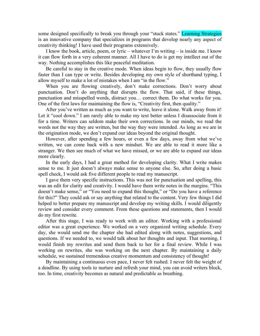some designed specifically to break you through your "stuck states." Learning Strategies is an innovative company that specializes in programs that develop nearly any aspect of creativity thinking! I have used their programs extensively.

I know the book, article, poem, or lyric – whatever I'm writing – is inside me. I know it can flow forth in a very coherent manner. All I have to do is get my intellect out of the way. Nothing accomplishes this like peaceful meditation.

Be careful to stay in the creative mode. When ideas begin to flow, they usually flow faster than I can type or write. Besides developing my own style of shorthand typing, I allow myself to make a lot of mistakes when I am "in the flow."

When you are flowing creatively, don't make corrections. Don't worry about punctuation. Don't do anything that disrupts the flow. That said, if these things, punctuation and misspelled words, distract you… correct them. Do what works for you. One of the first laws for maintaining the flow is, "Creativity first, then quality."

After you've written as much as you want to write, leave it alone. Walk away from it! Let it "cool down." I am rarely able to make my text better unless I disassociate from it for a time. Writers can seldom make their own corrections. In our minds, we read the words not the way they are written, but the way they were intended. As long as we are in the origination mode, we don't expand our ideas beyond the original thought.

However, after spending a few hours, or even a few days, away from what we've written, we can come back with a new mindset. We are able to read it more like a stranger. We then see much of what we have missed, or we are able to expand our ideas more clearly.

In the early days, I had a great method for developing clarity. What I write makes sense to me. It just doesn't always make sense to anyone else. So, after doing a basic spell check, I would ask five different people to read my manuscript.

I gave them very specific instructions. This was not for punctuation and spelling, this was an edit for clarity and creativity. I would have them write notes in the margins. "This doesn't make sense," or "You need to expand this thought," or "Do you have a reference for this?" They could ask or say anything that related to the content. Very few things I did helped to better prepare my manuscript and develop my writing skills. I would diligently review and consider every comment. From these questions and statements, then I would do my first rewrite.

After this stage, I was ready to work with an editor. Working with a professional editor was a great experience. We worked on a very organized writing schedule. Every day, she would send me the chapter she had edited along with notes, suggestions, and questions. If we needed to, we would talk about her thoughts and input. That morning, I would finish my rewrites and send them back to her for a final review. While I was working on rewrites, she was working on the next chapter. By maintaining a daily schedule, we sustained tremendous creative momentum and consistency of thought!

By maintaining a continuous even pace, I never felt rushed. I never felt the weight of a deadline. By using tools to nurture and refresh your mind, you can avoid writers block, too. In time, creativity becomes as natural and predictable as breathing.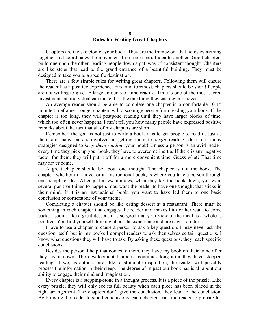Chapters are the skeleton of your book. They are the framework that holds everything together and coordinates the movement from one central idea to another. Good chapters build one upon the other, leading people down a pathway of consistent thought. Chapters are like steps that lead to the grand entrance of a beautiful building. They must be designed to take you to a specific destination.

There are a few simple rules for writing great chapters. Following them will ensure the reader has a positive experience. First and foremost, chapters should be short! People are not willing to give up large amounts of time readily. Time is one of the most sacred investments an individual can make. It is the one thing they can never recover.

An average reader should be able to complete one chapter in a comfortable 10-15 minute timeframe. Longer chapters will discourage people from reading your book. If the chapter is too long, they will postpone reading until they have larger blocks of time, which too often never happens. I can't tell you how many people have expressed positive remarks about the fact that all of my chapters are short.

Remember, the goal is not just to write a book, it is to get people to read it. Just as there are many factors involved in getting them to *begin* reading, there are many strategies designed to *keep them reading* your book! Unless a person is an avid reader, every time they pick up your book, they have to overcome inertia. If there is any negative factor for them, they will put it off for a more convenient time. Guess what? That time may never come.

A great chapter should be about one thought. The chapter is not the book. The chapter, whether in a novel or an instructional book, is where you take a person through one complete idea. After just a few minutes, when they lay the book down, you want several positive things to happen. You want the reader to have one thought that sticks in their mind. If it is an instructional book, you want to have led them to one basic conclusion or cornerstone of your theme.

Completing a chapter should be like eating dessert at a restaurant. There must be something in each chapter that engages the reader and makes him or her want to come back… soon! Like a great dessert, it is so good that your view of the meal as a whole is positive. You find yourself thinking about the experience and are eager to return.

I love to use a chapter to cause a person to ask a key question. I may never ask the question itself, but in my books I compel readers to ask themselves certain questions. I know what questions they will have to ask. By asking these questions, they reach specific conclusions.

Besides the personal help that comes to them, they have my book on their mind after they lay it down. The developmental process continues long after they have stopped reading. If we, as authors, are able to stimulate inspiration, the reader will possibly process the information in their sleep. The degree of impact our book has is all about our ability to engage their mind and imagination.

Every chapter is a stepping-stone in a thought process. It is a piece of the puzzle. Like every puzzle, they will only see its full beauty when each piece has been placed in the right arrangement. The chapters don't give the conclusion, they lead to the conclusion. By bringing the reader to small conclusions, each chapter leads the reader to prepare his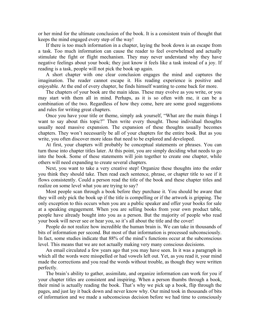or her mind for the ultimate conclusion of the book. It is a consistent train of thought that keeps the mind engaged every step of the way!

If there is too much information in a chapter, laying the book down is an escape from a task. Too much information can cause the reader to feel overwhelmed and actually stimulate the fight or flight mechanism. They may never understand why they have negative feelings about your book; they just know it feels like a task instead of a joy. If reading is a task, people will not pick the book up again.

A short chapter with one clear conclusion engages the mind and captures the imagination. The reader cannot escape it. His reading experience is positive and enjoyable. At the end of every chapter, he finds himself wanting to come back for more.

The chapters of your book are the main ideas. These may evolve as you write, or you may start with them all in mind. Perhaps, as it is so often with me, it can be a combination of the two. Regardless of how they come, here are some good suggestions and rules for writing great chapters.

Once you have your title or theme, simply ask yourself, "What are the main things I want to say about this topic?" Then write every thought. Those individual thoughts usually need massive expansion. The expansion of these thoughts usually becomes chapters. They won't necessarily be all of your chapters for the entire book. But as you write, you often discover more ideas that need to be explored and developed.

At first, your chapters will probably be conceptual statements or phrases. You can turn those into chapter titles later. At this point, you are simply deciding what needs to go into the book. Some of these statements will join together to create one chapter, while others will need expanding to create several chapters.

Next, you want to take a very creative step! Organize these thoughts into the order you think they should take. Then read each sentence, phrase, or chapter title to see if it flows consistently. Could a person read the title of the book and these chapter titles and realize on some level what you are trying to say?

Most people scan through a book before they purchase it. You should be aware that they will only pick the book up if the title is compelling or if the artwork is gripping. The only exception to this occurs when you are a public speaker and offer your books for sale at a speaking engagement. When you are selling books from your own product table, people have already bought into you as a person. But the majority of people who read your book will never see or hear you, so it's all about the title and the cover!

People do not realize how incredible the human brain is. We can take in thousands of bits of information per second. But most of that information is processed subconsciously. In fact, some studies indicate that 88% of the mind's functions occur at the subconscious level. This means that we are not actually making very many conscious decisions.

An email circulated a few years ago that you may have seen. In it was a paragraph in which all the words were misspelled or had vowels left out. Yet, as you read it, your mind made the corrections and you read the words without trouble, as though they were written perfectly.

The brain's ability to gather, assimilate, and organize information can work for you if your chapter titles are consistent and inspiring. When a person thumbs through a book, their mind is actually reading the book. That's why we pick up a book, flip through the pages, and just lay it back down and never know why. Our mind took in thousands of bits of information and we made a subconscious decision before we had time to consciously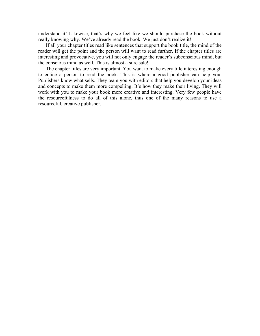understand it! Likewise, that's why we feel like we should purchase the book without really knowing why. We've already read the book. We just don't realize it!

If all your chapter titles read like sentences that support the book title, the mind of the reader will get the point and the person will want to read further. If the chapter titles are interesting and provocative, you will not only engage the reader's subconscious mind, but the conscious mind as well. This is almost a sure sale!

The chapter titles are very important. You want to make every title interesting enough to entice a person to read the book. This is where a good publisher can help you. Publishers know what sells. They team you with editors that help you develop your ideas and concepts to make them more compelling. It's how they make their living. They will work with you to make your book more creative and interesting. Very few people have the resourcefulness to do all of this alone, thus one of the many reasons to use a resourceful, creative publisher.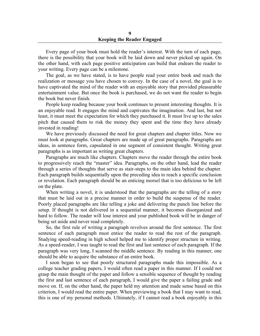Every page of your book must hold the reader's interest. With the turn of each page, there is the possibility that your book will be laid down and never picked up again. On the other hand, with each page positive anticipation can build that endears the reader to your writing. Every page can be a milestone.

The goal, as we have stated, is to have people read your entire book and reach the realization or message you have chosen to convey. In the case of a novel, the goal is to have captivated the mind of the reader with an enjoyable story that provided pleasurable entertainment value. But once the book is purchased, we do not want the reader to begin the book but never finish.

People keep reading because your book continues to present interesting thoughts. It is an enjoyable read. It engages the mind and captivates the imagination. And last, but not least, it must meet the expectation for which they purchased it. It must live up to the sales pitch that caused them to risk the money they spent and the time they have already invested in reading!

We have previously discussed the need for great chapters and chapter titles. Now we must look at paragraphs. Great chapters are made up of great paragraphs. Paragraphs are ideas, in sentence form, capsulated in one segment of consistent thought. Writing great paragraphs is as important as writing great chapters.

Paragraphs are much like chapters. Chapters move the reader through the entire book to progressively reach the "master" idea. Paragraphs, on the other hand, lead the reader through a series of thoughts that serve as stair-steps to the main idea behind the chapter. Each paragraph builds sequentially upon the preceding idea to reach a specific conclusion or revelation. Each paragraph should be an enticing morsel that is too delicious to be left on the plate.

When writing a novel, it is understood that the paragraphs are the telling of a story that must be laid out in a precise manner in order to build the suspense of the reader. Poorly placed paragraphs are like telling a joke and delivering the punch line before the setup. If thought is not delivered in a sequential manner, it becomes disorganized and hard to follow. The reader will lose interest and your published book will be in danger of being set aside and never read completely.

So, the first rule of writing a paragraph revolves around the first sentence. The first sentence of each paragraph must entice the reader to read the rest of the paragraph. Studying speed-reading in high school helped me to identify proper structure in writing. As a speed-reader, I was taught to read the first and last sentence of each paragraph. If the paragraph was very long, I scanned the middle sentence. By reading in this manner, one should be able to acquire the substance of an entire book.

I soon began to see that poorly structured paragraphs made this impossible. As a college teacher grading papers, I would often read a paper in this manner. If I could not grasp the main thought of the paper and follow a sensible sequence of thought by reading the first and last sentence of each paragraph, I would give the paper a failing grade and move on. If, on the other hand, the paper held my attention and made sense based on this criterion, I would read the entire paper. When previewing a book that I may want to read, this is one of my personal methods. Ultimately, if I cannot read a book enjoyably in this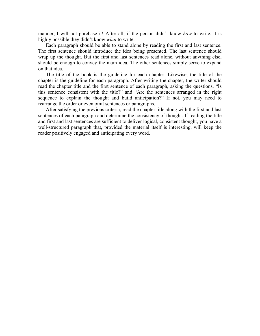manner, I will not purchase it! After all, if the person didn't know *how* to write, it is highly possible they didn't know *what* to write.

Each paragraph should be able to stand alone by reading the first and last sentence. The first sentence should introduce the idea being presented. The last sentence should wrap up the thought. But the first and last sentences read alone, without anything else, should be enough to convey the main idea. The other sentences simply serve to expand on that idea.

The title of the book is the guideline for each chapter. Likewise, the title of the chapter is the guideline for each paragraph. After writing the chapter, the writer should read the chapter title and the first sentence of each paragraph, asking the questions, "Is this sentence consistent with the title?" and "Are the sentences arranged in the right sequence to explain the thought and build anticipation?" If not, you may need to rearrange the order or even omit sentences or paragraphs.

After satisfying the previous criteria, read the chapter title along with the first and last sentences of each paragraph and determine the consistency of thought. If reading the title and first and last sentences are sufficient to deliver logical, consistent thought, you have a well-structured paragraph that, provided the material itself is interesting, will keep the reader positively engaged and anticipating every word.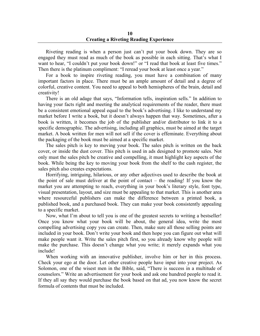Riveting reading is when a person just can't put your book down. They are so engaged they must read as much of the book as possible in each sitting. That's what I want to hear, "I couldn't put your book down!" or "I read that book at least five times." Then there is the platinum compliment: "I reread your book at least once a year."

For a book to inspire riveting reading, you must have a combination of many important factors in place. There must be an ample amount of detail and a degree of colorful, creative content. You need to appeal to both hemispheres of the brain, detail and creativity!

There is an old adage that says, "Information tells, inspiration sells." In addition to having your facts right and meeting the analytical requirements of the reader, there must be a consistent emotional appeal equal to the book's advertising. I like to understand my market before I write a book, but it doesn't always happen that way. Sometimes, after a book is written, it becomes the job of the publisher and/or distributor to link it to a specific demographic. The advertising, including all graphics, must be aimed at the target market. A book written for men will not sell if the cover is effeminate. Everything about the packaging of the book must be aimed at a specific market.

The sales pitch is key to moving your book. The sales pitch is written on the back cover, or inside the dust cover. This pitch is used in ads designed to promote sales. Not only must the sales pitch be creative and compelling, it must highlight key aspects of the book. While being the key to moving your book from the shelf to the cash register, the sales pitch also creates expectations.

Horrifying, intriguing, hilarious, or any other adjectives used to describe the book at the point of sale must deliver at the point of contact – the reading! If you know the market you are attempting to reach, everything in your book's literary style, font type, visual presentation, layout, and size must be appealing to that market. This is another area where resourceful publishers can make the difference between a printed book, a published book, and a purchased book. They can make your book consistently appealing to a specific market.

Now, what I'm about to tell you is one of the greatest secrets to writing a bestseller! Once you know what your book will be about, the general idea, write the most compelling advertising copy you can create. Then, make sure all those selling points are included in your book. Don't write your book and then hope you can figure out what will make people want it. Write the sales pitch first, so you already know why people will make the purchase. This doesn't change what you write; it merely expands what you include!

When working with an innovative publisher, involve him or her in this process. Check your ego at the door. Let other creative people have input into your project. As Solomon, one of the wisest men in the Bible, said, "There is success in a multitude of counselors." Write an advertisement for your book and ask one hundred people to read it. If they all say they would purchase the book based on that ad, you now know the secret formula of contents that must be included.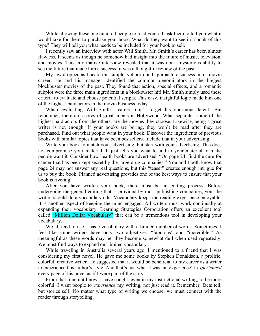While allowing these one hundred people to read your ad, ask them to tell you what it would take for them to purchase your book. What do they want to see in a book of this type? They will tell you what needs to be included for your book to sell.

I recently saw an interview with actor Will Smith. Mr. Smith's career has been almost flawless. It seems as though he somehow had insight into the future of music, television, and movies. This informative interview revealed that it was not a mysterious ability to see the future that made him a success; it was a thoughtful review of the past.

My jaw dropped as I heard this simple, yet profound approach to success in his movie career. He and his manager identified the common denominators in the biggest blockbuster movies of the past. They found that action, special effects, and a romantic subplot were the three main ingredients in a blockbuster hit! Mr. Smith simply used these criteria to evaluate and choose potential scripts. This easy, insightful logic made him one of the highest-paid actors in the movie business today.

When evaluating Will Smith's career, don't forget his enormous talent! But remember, there are scores of great talents in Hollywood. What separates some of the highest paid actors from the others, are the movies they choose. Likewise, being a great writer is not enough. If your books are boring, they won't be read after they are purchased. Find out what people want in your book. Discover the ingredients of previous books with similar topics that have been bestsellers. Include that in your advertising.

Write your book to match your advertising, but start with your advertising. This does not compromise your material. It just tells you what to add to your material to make people want it. Consider how health books are advertised. "On page 24, find the cure for cancer that has been kept secret by the large drug companies." You and I both know that page 24 may not answer any real questions, but this "teaser" creates enough intrigue for us to buy the book. Planned advertising provides one of the best ways to ensure that your book is riveting.

After you have written your book, there must be an editing process. Before undergoing the general editing that is provided by most publishing companies, you, the writer, should do a vocabulary edit. Vocabulary keeps the reading experience enjoyable. It is another aspect of keeping the mind engaged. All writers must work continually at expanding their vocabulary. Learning Strategies Corporation offers an excellent tool called "Million Dollar Vocabulary" that can be a tremendous tool in developing your vocabulary.

We all tend to use a basic vocabulary with a limited number of words. Sometimes, I feel like some writers have only two adjectives: "fabulous" and "incredible." As meaningful as these words may be, they become somewhat dull when used repeatedly. We must find ways to expand our limited vocabulary.

While traveling in Australia several years ago, I mentioned to a friend that I was considering my first novel. He gave me some books by Stephen Donaldson, a prolific, colorful, creative writer. He suggested that it would be beneficial to my career as a writer to experience this author's style. And that's just what it was, an experience! I *experienced* every page of his novel as if I were part of the story.

From that time until now, I have sought, even in my instructional writing, to be more colorful. I want people to *experience* my writing, not just read it. Remember, facts tell, but stories sell! No matter what type of writing we choose, we must connect with the reader through storytelling.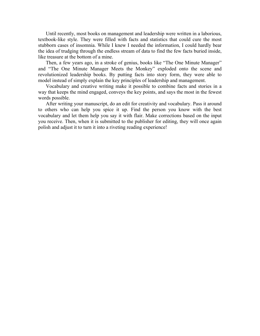Until recently, most books on management and leadership were written in a laborious, textbook-like style. They were filled with facts and statistics that could cure the most stubborn cases of insomnia. While I knew I needed the information, I could hardly bear the idea of trudging through the endless stream of data to find the few facts buried inside, like treasure at the bottom of a mine.

Then, a few years ago, in a stroke of genius, books like "The One Minute Manager" and "The One Minute Manager Meets the Monkey" exploded onto the scene and revolutionized leadership books. By putting facts into story form, they were able to model instead of simply explain the key principles of leadership and management.

Vocabulary and creative writing make it possible to combine facts and stories in a way that keeps the mind engaged, conveys the key points, and says the most in the fewest words possible.

After writing your manuscript, do an edit for creativity and vocabulary. Pass it around to others who can help you spice it up. Find the person you know with the best vocabulary and let them help you say it with flair. Make corrections based on the input you receive. Then, when it is submitted to the publisher for editing, they will once again polish and adjust it to turn it into a riveting reading experience!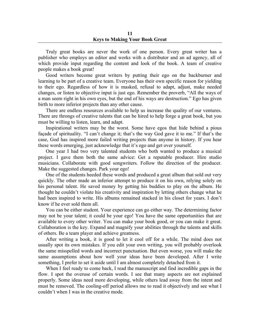Truly great books are never the work of one person. Every great writer has a publisher who employs an editor and works with a distributor and an ad agency, all of which provide input regarding the content and look of the book. A team of creative people makes a book great!

Good writers become great writers by putting their ego on the backburner and learning to be part of a creative team. Everyone has their own specific reason for yielding to their ego. Regardless of how it is masked, refusal to adapt, adjust, make needed changes, or listen to objective input is just ego. Remember the proverb, "All the ways of a man seem right in his own eyes, but the end of his ways are destruction." Ego has given birth to more inferior projects than any other cause.

There are endless resources available to help us increase the quality of our ventures. There are throngs of creative talents that can be hired to help forge a great book, but you must be willing to listen, learn, and adapt.

Inspirational writers may be the worst. Some have egos that hide behind a pious façade of spirituality. "I can't change it; that's the way God gave it to me." If that's the case, God has inspired more failed writing projects than anyone in history. If you hear these words emerging, just acknowledge that it's ego and get over yourself.

One year I had two very talented students who both wanted to produce a musical project. I gave them both the same advice: Get a reputable producer. Hire studio musicians. Collaborate with good songwriters. Follow the direction of the producer. Make the suggested changes. Park your ego!

One of the students heeded these words and produced a great album that sold out very quickly. The other made an inferior attempt to produce it on his own, relying solely on his personal talent. He saved money by getting his buddies to play on the album. He thought he couldn't violate his creativity and inspiration by letting others change what he had been inspired to write. His albums remained stacked in his closet for years. I don't know if he ever sold them all.

You can be either student. Your experience can go either way. The determining factor may not be your talent; it could be your ego! You have the same opportunities that are available to every other writer. You can make your book good, or you can make it great. Collaboration is the key. Expand and magnify your abilities through the talents and skills of others. Be a team player and achieve greatness.

After writing a book, it is good to let it cool off for a while. The mind does not usually spot its own mistakes. If you edit your own writing, you will probably overlook the same misspelled words and incorrect punctuation. But even worse, you will make the same assumptions about how well your ideas have been developed. After I write something, I prefer to set it aside until I am almost completely detached from it.

When I feel ready to come back, I read the manuscript and find incredible gaps in the flow. I spot the overuse of certain words. I see that many aspects are not explained properly. Some ideas need more developing, while others lead away from the intent and must be removed. The cooling-off period allows me to read it objectively and see what I couldn't when I was in the creative mode.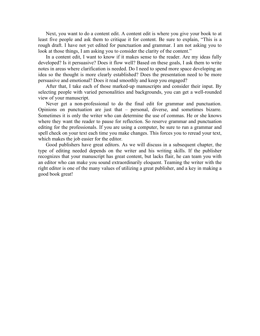Next, you want to do a content edit. A content edit is where you give your book to at least five people and ask them to critique it for content. Be sure to explain, "This is a rough draft. I have not yet edited for punctuation and grammar. I am not asking you to look at those things, I am asking you to consider the clarity of the content."

In a content edit, I want to know if it makes sense to the reader. Are my ideas fully developed? Is it persuasive? Does it flow well? Based on these goals, I ask them to write notes in areas where clarification is needed. Do I need to spend more space developing an idea so the thought is more clearly established? Does the presentation need to be more persuasive and emotional? Does it read smoothly and keep you engaged?

After that, I take each of those marked-up manuscripts and consider their input. By selecting people with varied personalities and backgrounds, you can get a well-rounded view of your manuscript.

Never get a non-professional to do the final edit for grammar and punctuation. Opinions on punctuation are just that – personal, diverse, and sometimes bizarre. Sometimes it is only the writer who can determine the use of commas. He or she knows where they want the reader to pause for reflection. So reserve grammar and punctuation editing for the professionals. If you are using a computer, be sure to run a grammar and spell check on your text each time you make changes. This forces you to reread your text, which makes the job easier for the editor.

Good publishers have great editors. As we will discuss in a subsequent chapter, the type of editing needed depends on the writer and his writing skills. If the publisher recognizes that your manuscript has great content, but lacks flair, he can team you with an editor who can make you sound extraordinarily eloquent. Teaming the writer with the right editor is one of the many values of utilizing a great publisher, and a key in making a good book great!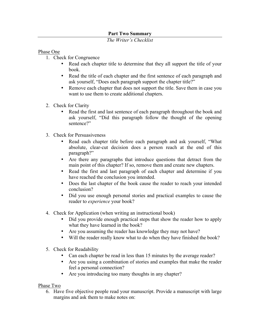# **Part Two Summary**

# *The Writer's Checklist*

## Phase One

- 1. Check for Congruence
	- Read each chapter title to determine that they all support the title of your book.
	- Read the title of each chapter and the first sentence of each paragraph and ask yourself, "Does each paragraph support the chapter title?"
	- Remove each chapter that does not support the title. Save them in case you want to use them to create additional chapters.
- 2. Check for Clarity
	- Read the first and last sentence of each paragraph throughout the book and ask yourself, "Did this paragraph follow the thought of the opening sentence?"
- 3. Check for Persuasiveness
	- Read each chapter title before each paragraph and ask yourself, "What absolute, clear-cut decision does a person reach at the end of this paragraph?"
	- Are there any paragraphs that introduce questions that detract from the main point of this chapter? If so, remove them and create new chapters.
	- Read the first and last paragraph of each chapter and determine if you have reached the conclusion you intended.
	- Does the last chapter of the book cause the reader to reach your intended conclusion?
	- Did you use enough personal stories and practical examples to cause the reader to *experience* your book?
- 4. Check for Application (when writing an instructional book)
	- Did you provide enough practical steps that show the reader how to apply what they have learned in the book?
	- Are you assuming the reader has knowledge they may not have?
	- Will the reader really know what to do when they have finished the book?
- 5. Check for Readability
	- Can each chapter be read in less than 15 minutes by the average reader?
	- Are you using a combination of stories and examples that make the reader feel a personal connection?
	- Are you introducing too many thoughts in any chapter?

## Phase Two

6. Have five objective people read your manuscript. Provide a manuscript with large margins and ask them to make notes on: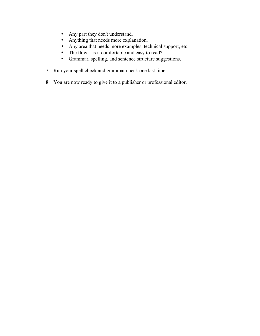- Any part they don't understand.
- Anything that needs more explanation.
- Any area that needs more examples, technical support, etc.
- The flow is it comfortable and easy to read?
- Grammar, spelling, and sentence structure suggestions.
- 7. Run your spell check and grammar check one last time.
- 8. You are now ready to give it to a publisher or professional editor.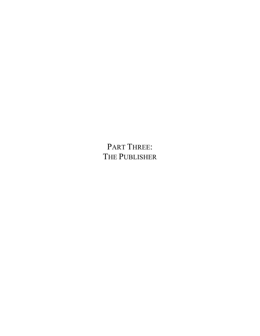PART THREE: THE PUBLISHER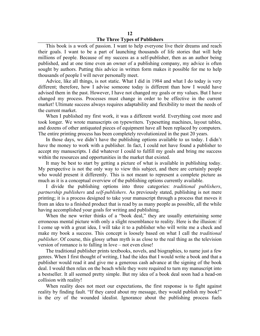### **12 The Three Types of Publishers**

This book is a work of passion. I want to help everyone live their dreams and reach their goals. I want to be a part of launching thousands of life stories that will help millions of people. Because of my success as a self-publisher, then as an author being published, and at one time even an owner of a publishing company, my advice is often sought by authors. Putting this advice in written form makes it possible for me to help thousands of people I will never personally meet.

Advice, like all things, is not static. What I did in 1984 and what I do today is very different; therefore, how I advise someone today is different than how I would have advised them in the past. However, I have not changed my goals or my values. But I have changed my process. Processes must change in order to be effective in the current market! Ultimate success always requires adaptability and flexibility to meet the needs of the current market.

When I published my first work, it was a different world. Everything cost more and took longer. We wrote manuscripts on typewriters. Typesetting machines, layout tables, and dozens of other antiquated pieces of equipment have all been replaced by computers. The entire printing process has been completely revolutionized in the past 20 years.

In those days, we didn't have the publishing options available to us today. I didn't have the money to work with a publisher. In fact, I could not have found a publisher to accept my manuscripts. I did whatever I could to fulfill my goals and bring me success within the resources and opportunities in the market that existed.

It may be best to start by getting a picture of what is available in publishing today. My perspective is not the only way to view this subject, and there are certainly people who would present it differently. This is not meant to represent a complete picture as much as it is a conceptual overview of the publishing options currently available.

I divide the publishing options into three categories: *traditional publishers*, *partnership publishers* and *self-publishers*. As previously stated, publishing is not mere printing; it is a process designed to take your manuscript through a process that moves it from an idea to a finished product that is read by as many people as possible, all the while having accomplished your goals for writing and publishing.

When the new writer thinks of a "book deal," they are usually entertaining some erroneous mental picture with only a slight resemblance to reality. Here is the illusion: if I come up with a great idea, I will take it to a publisher who will write me a check and make my book a success. This concept is loosely based on what I call the *traditional publisher*. Of course, this glossy urban myth is as close to the real thing as the television version of romance is to falling in love – not even close!

The traditional publisher prints textbooks, novels, and biographies, to name just a few genres. When I first thought of writing, I had the idea that I would write a book and that a publisher would read it and give me a generous cash advance at the signing of the book deal. I would then relax on the beach while they were required to turn my manuscript into a bestseller. It all seemed pretty simple. But my idea of a book deal soon had a head-on collision with reality!

When reality does not meet our expectations, the first response is to fight against reality by finding fault. "If they cared about my message, they would publish my book!" is the cry of the wounded idealist. Ignorance about the publishing process fuels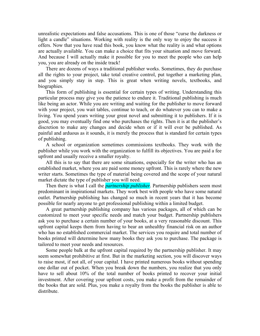unrealistic expectations and false accusations. This is one of those "curse the darkness or light a candle" situations. Working with reality is the only way to enjoy the success it offers. Now that you have read this book, you know what the reality is and what options are actually available. You can make a choice that fits your situation and move forward. And because I will actually make it possible for you to meet the people who can help you, you are already on the inside track!

There are dozens of ways a traditional publisher works. Sometimes, they do purchase all the rights to your project, take total creative control, put together a marketing plan, and you simply stay in step. This is great when writing novels, textbooks, and biographies.

This form of publishing is essential for certain types of writing. Understanding this particular process may give you the patience to endure it. Traditional publishing is much like being an actor. While you are writing and waiting for the publisher to move forward with your project, you wait tables, continue to teach, or do whatever you can to make a living. You spend years writing your great novel and submitting it to publishers. If it is good, you may eventually find one who purchases the rights. Then it is at the publisher's discretion to make any changes and decide when or if it will ever be published. As painful and arduous as it sounds, it is merely the process that is standard for certain types of publishing.

A school or organization sometimes commissions textbooks. They work with the publisher while you work with the organization to fulfill its objectives. You are paid a fee upfront and usually receive a smaller royalty.

All this is to say that there are some situations, especially for the writer who has an established market, where you are paid some money upfront. This is rarely where the new writer starts. Sometimes the type of material being covered and the scope of your natural market dictate the type of publisher you will need.

Then there is what I call the *partnership publisher*. Partnership publishers seem most predominant in inspirational markets. They work best with people who have some natural outlet. Partnership publishing has changed so much in recent years that it has become possible for nearly anyone to get professional publishing within a limited budget.

A great partnership publishing company has various packages, all of which can be customized to meet your specific needs and match your budget. Partnership publishers ask you to purchase a certain number of your books, at a very reasonable discount. This upfront capital keeps them from having to bear an unhealthy financial risk on an author who has no established commercial market. The services you require and total number of books printed will determine how many books they ask you to purchase. The package is tailored to meet your needs and resources.

Some people balk at the upfront capital required by the partnership publisher. It may seem somewhat prohibitive at first. But in the marketing section, you will discover ways to raise most, if not all, of your capital. I have printed numerous books without spending one dollar out of pocket. When you break down the numbers, you realize that you only have to sell about 10% of the total number of books printed to recover your initial investment. After covering your upfront costs, you make a profit from the remainder of the books that are sold. Plus, you make a royalty from the books the publisher is able to distribute.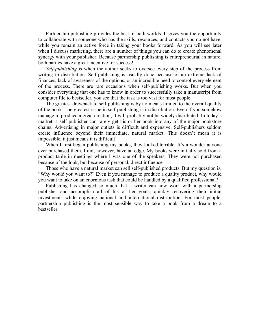Partnership publishing provides the best of both worlds. It gives you the opportunity to collaborate with someone who has the skills, resources, and contacts you do not have, while you remain an active force in taking your books forward. As you will see later when I discuss marketing, there are a number of things you can do to create phenomenal synergy with your publisher. Because partnership publishing is entrepreneurial in nature, both parties have a great incentive for success!

*Self-publishing* is when the author seeks to oversee every step of the process from writing to distribution. Self-publishing is usually done because of an extreme lack of finances, lack of awareness of the options, or an incredible need to control every element of the process. There are rare occasions when self-publishing works. But when you consider everything that one has to know in order to successfully take a manuscript from computer file to bestseller, you see that the task is too vast for most people.

The greatest drawback to self-publishing is by no means limited to the overall quality of the book. The greatest issue in self-publishing is in distribution. Even if you somehow manage to produce a great creation, it will probably not be widely distributed. In today's market, a self-publisher can rarely get his or her book into any of the major bookstore chains. Advertising in major outlets is difficult and expensive. Self-publishers seldom create influence beyond their immediate, natural market. This doesn't mean it is impossible, it just means it is difficult!

When I first began publishing my books, they looked terrible. It's a wonder anyone ever purchased them. I did, however, have an edge. My books were initially sold from a product table in meetings where I was one of the speakers. They were not purchased because of the look, but because of personal, direct influence.

Those who have a natural market can sell self-published products. But my question is, "Why would you want to?" Even if you manage to produce a quality product, why would you want to take on an enormous task that could be handled by a qualified professional?

Publishing has changed so much that a writer can now work with a partnership publisher and accomplish all of his or her goals, quickly recovering their initial investments while enjoying national and international distribution. For most people, partnership publishing is the most sensible way to take a book from a dream to a bestseller.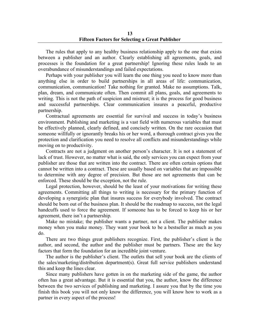The rules that apply to any healthy business relationship apply to the one that exists between a publisher and an author. Clearly establishing all agreements, goals, and processes is the foundation for a great partnership! Ignoring these rules leads to an overabundance of misunderstandings and failed expectations.

Perhaps with your publisher you will learn the one thing you need to know more than anything else in order to build partnerships in all areas of life: communication, communication, communication! Take nothing for granted. Make no assumptions. Talk, plan, dream, and communicate often. Then commit all plans, goals, and agreements to writing. This is not the path of suspicion and mistrust; it is the process for good business and successful partnerships. Clear communication insures a peaceful, productive partnership.

Contractual agreements are essential for survival and success in today's business environment. Publishing and marketing is a vast field with numerous variables that must be effectively planned, clearly defined, and concisely written. On the rare occasion that someone willfully or ignorantly breaks his or her word, a thorough contract gives you the protection and clarification you need to resolve all conflicts and misunderstandings while moving on to productivity.

Contracts are not a judgment on another person's character. It is not a statement of lack of trust. However, no matter what is said, the only services you can expect from your publisher are those that are written into the contract. There are often certain options that cannot be written into a contract. These are usually based on variables that are impossible to determine with any degree of precision. But those are not agreements that can be enforced. These should be the exception, not the rule.

Legal protection, however, should be the least of your motivations for writing these agreements. Committing all things to writing is necessary for the primary function of developing a synergistic plan that insures success for everybody involved. The contract should be born out of the business plan. It should be the roadmap to success, not the legal handcuffs used to force the agreement. If someone has to be forced to keep his or her agreement, there isn't a partnership.

Make no mistake; the publisher wants a partner, not a client. The publisher makes money when you make money. They want your book to be a bestseller as much as you do.

There are two things great publishers recognize. First, the publisher's client is the author, and second, the author and the publisher must be partners. These are the key factors that form the foundation for an incredible joint venture.

The author is the publisher's client. The outlets that sell your book are the clients of the sales/marketing/distribution department(s). Great full service publishers understand this and keep the lines clear.

Since many publishers have gotten in on the marketing side of the game, the author often has a great advantage. But it is essential that you, the author, know the difference between the two services of publishing and marketing. I assure you that by the time you finish this book you will not only know the difference, you will know how to work as a partner in every aspect of the process!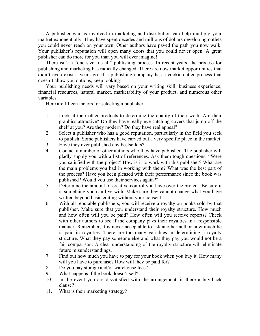A publisher who is involved in marketing and distribution can help multiply your market exponentially. They have spent decades and millions of dollars developing outlets you could never reach on your own. Other authors have paved the path you now walk. Your publisher's reputation will open many doors that you could never open. A great publisher can do more for you than you will ever imagine!

There isn't a "one size fits all" publishing process. In recent years, the process for publishing and marketing has radically changed. There are now market opportunities that didn't even exist a year ago. If a publishing company has a cookie-cutter process that doesn't allow you options, keep looking!

Your publishing needs will vary based on your writing skill, business experience, financial resources, natural market, marketability of your product, and numerous other variables.

Here are fifteen factors for selecting a publisher:

- 1. Look at their other products to determine the quality of their work. Are their graphics attractive? Do they have really eye-catching covers that jump off the shelf at you? Are they modern? Do they have real appeal?
- 2. Select a publisher who has a good reputation, particularly in the field you seek to publish. Some publishers have carved out a very specific place in the market.
- 3. Have they ever published any bestsellers?
- 4. Contact a number of other authors who they have published. The publisher will gladly supply you with a list of references. Ask them tough questions. "Were you satisfied with the project? How is it to work with this publisher? What are the main problems you had in working with them? What was the best part of the process? Have you been pleased with their performance since the book was published? Would you use their services again?"
- 5. Determine the amount of creative control you have over the project. Be sure it is something you can live with. Make sure they cannot change what you have written beyond basic editing without your consent.
- 6. With all reputable publishers, you will receive a royalty on books sold by that publisher. Make sure that you understand their royalty structure. How much and how often will you be paid? How often will you receive reports? Check with other authors to see if the company pays their royalties in a responsible manner. Remember, it is never acceptable to ask another author how much he is paid in royalties. There are too many variables in determining a royalty structure. What they pay someone else and what they pay you would not be a fair comparison. A clear understanding of the royalty structure will eliminate future misunderstandings.
- 7. Find out how much you have to pay for your book when you buy it. How many will you have to purchase? How will they be paid for?
- 8. Do you pay storage and/or warehouse fees?
- 9. What happens if the book doesn't sell?
- 10. In the event you are dissatisfied with the arrangement, is there a buy-back clause?
- 11. What is their marketing strategy?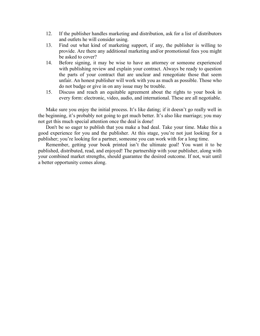- 12. If the publisher handles marketing and distribution, ask for a list of distributors and outlets he will consider using.
- 13. Find out what kind of marketing support, if any, the publisher is willing to provide. Are there any additional marketing and/or promotional fees you might be asked to cover?
- 14. Before signing, it may be wise to have an attorney or someone experienced with publishing review and explain your contract. Always be ready to question the parts of your contract that are unclear and renegotiate those that seem unfair. An honest publisher will work with you as much as possible. Those who do not budge or give in on any issue may be trouble.
- 15. Discuss and reach an equitable agreement about the rights to your book in every form: electronic, video, audio, and international. These are all negotiable.

Make sure you enjoy the initial process. It's like dating; if it doesn't go really well in the beginning, it's probably not going to get much better. It's also like marriage; you may not get this much special attention once the deal is done!

Don't be so eager to publish that you make a bad deal. Take your time. Make this a good experience for you and the publisher. At this stage, you're not just looking for a publisher; you're looking for a partner, someone you can work with for a long time.

Remember, getting your book printed isn't the ultimate goal! You want it to be published, distributed, read, and enjoyed! The partnership with your publisher, along with your combined market strengths, should guarantee the desired outcome. If not, wait until a better opportunity comes along.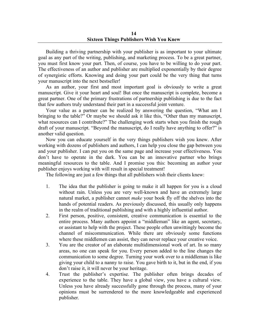Building a thriving partnership with your publisher is as important to your ultimate goal as any part of the writing, publishing, and marketing process. To be a great partner, you must first know your part. Then, of course, you have to be willing to do your part. The effectiveness of an author and publisher are multiplied exponentially by their degree of synergistic efforts. Knowing and doing your part could be the very thing that turns your manuscript into the next bestseller!

As an author, your first and most important goal is obviously to write a great manuscript. Give it your heart and soul! But once the manuscript is complete, become a great partner. One of the primary frustrations of partnership publishing is due to the fact that few authors truly understand their part in a successful joint venture.

Your value as a partner can be realized by answering the question, "What am I bringing to the table?" Or maybe we should ask it like this, "Other than my manuscript, what resources can I contribute?" The challenging work starts when you finish the rough draft of your manuscript. "Beyond the manuscript, do I really have anything to offer?" is another valid question.

Now you can educate yourself in the very things publishers wish you knew. After working with dozens of publishers and authors, I can help you close the gap between you and your publisher. I can put you on the same page and increase your effectiveness. You don't have to operate in the dark. You can be an innovative partner who brings meaningful resources to the table. And I promise you this: becoming an author your publisher enjoys working with will result in special treatment!

The following are just a few things that all publishers wish their clients knew:

- 1. The idea that the publisher is going to make it all happen for you is a cloud without rain. Unless you are very well-known and have an extremely large natural market, a publisher cannot *make* your book fly off the shelves into the hands of potential readers. As previously discussed, this usually only happens in the realm of traditional publishing and with a highly influential author.
- 2. First person, positive, consistent, creative communication is essential to the entire process. Many authors appoint a "middleman" like an agent, secretary, or assistant to help with the project. These people often unwittingly become the channel of miscommunication. While there are obviously some functions where these middlemen can assist, they can never replace your creative voice.
- 3. You are the creator of an elaborate multidimensional work of art. In so many areas, no one can speak for you. Every person added to the line changes the communication to some degree. Turning your work over to a middleman is like giving your child to a nanny to raise. You gave birth to it, but in the end, if you don't raise it, it will never be your heritage.
- 4. Trust the publisher's expertise. The publisher often brings decades of experience to the table. They have a global view, you have a cultural view. Unless you have already successfully gone through the process, many of your opinions must be surrendered to the more knowledgeable and experienced publisher.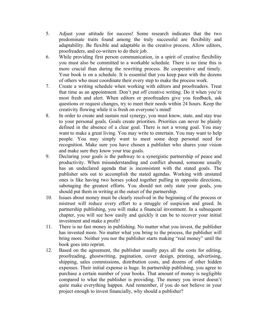- 5. Adjust your attitude for success! Some research indicates that the two predominate traits found among the truly successful are flexibility and adaptability. Be flexible and adaptable in the creative process. Allow editors, proofreaders, and co-writers to do their job.
- 6. While providing first person communication, in a spirit of creative flexibility you must also be committed to a workable schedule. There is no time this is more crucial than during the rewriting process. Be cooperative and timely. Your book is on a schedule. It is essential that you keep pace with the dozens of others who must coordinate their every step to make the process work.
- 7. Create a writing schedule when working with editors and proofreaders. Treat that time as an appointment. Don't put off creative writing. Do it when you're most fresh and alert. When editors or proofreaders give you feedback, ask questions or request changes, try to meet their needs within 24 hours. Keep the creativity flowing while it is fresh on everyone's mind!
- 8. In order to create and sustain real synergy, you must know, state, and stay true to your personal goals. Goals create priorities. Priorities can never be plainly defined in the absence of a clear goal. There is not a wrong goal. You may want to make a great living. You may write to entertain. You may want to help people. You may simply want to meet some deep personal need for recognition. Make sure you have chosen a publisher who shares your vision and make sure they know your true goals.
- 9. Declaring your goals is the pathway to a synergistic partnership of peace and productivity. When misunderstanding and conflict abound, someone usually has an undeclared agenda that is inconsistent with the stated goals. The publisher sets out to accomplish the stated agendas. Working with unstated ones is like having two horses yoked together pulling in opposite directions, sabotaging the greatest efforts. You should not only state your goals, you should put them in writing at the outset of the partnership.
- 10. Issues about money must be clearly resolved in the beginning of the process or mistrust will reduce every effort to a struggle of suspicion and greed. In partnership publishing, you will make a financial investment. In a subsequent chapter, you will see how easily and quickly it can be to recover your initial investment and make a profit!
- 11. There is no fast money in publishing. No matter what you invest, the publisher has invested more. No matter what you bring to the process, the publisher will bring more. Neither you nor the publisher starts making "real money" until the book goes into reprint.
- 12. Based on the agreement, the publisher usually pays all the costs for editing, proofreading, ghostwriting, pagination, cover design, printing, advertising, shipping, sales commissions, distribution costs, and dozens of other hidden expenses. Their initial expense is huge. In partnership publishing, you agree to purchase a certain number of your books. That amount of money is negligible compared to what the publisher is providing. The money you invest doesn't quite make everything happen. And remember, if you do not believe in your project enough to invest financially, why should a publisher?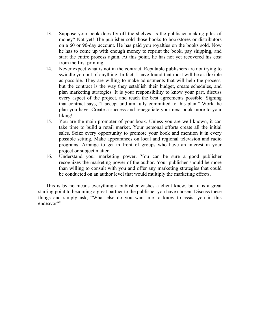- 13. Suppose your book does fly off the shelves. Is the publisher making piles of money? Not yet! The publisher sold those books to bookstores or distributors on a 60 or 90-day account. He has paid you royalties on the books sold. Now he has to come up with enough money to reprint the book, pay shipping, and start the entire process again. At this point, he has not yet recovered his cost from the first printing.
- 14. Never expect what is not in the contract. Reputable publishers are not trying to swindle you out of anything. In fact, I have found that most will be as flexible as possible. They are willing to make adjustments that will help the process, but the contract is the way they establish their budget, create schedules, and plan marketing strategies. It is your responsibility to know your part, discuss every aspect of the project, and reach the best agreements possible. Signing that contract says, "I accept and am fully committed to this plan." Work the plan you have. Create a success and renegotiate your next book more to your liking!
- 15. You are the main promoter of your book. Unless you are well-known, it can take time to build a retail market. Your personal efforts create all the initial sales. Seize every opportunity to promote your book and mention it in every possible setting. Make appearances on local and regional television and radio programs. Arrange to get in front of groups who have an interest in your project or subject matter.
- 16. Understand your marketing power. You can be sure a good publisher recognizes the marketing power of the author. Your publisher should be more than willing to consult with you and offer any marketing strategies that could be conducted on an author level that would multiply the marketing effects.

This is by no means everything a publisher wishes a client knew, but it is a great starting point to becoming a great partner to the publisher you have chosen. Discuss these things and simply ask, "What else do you want me to know to assist you in this endeavor?"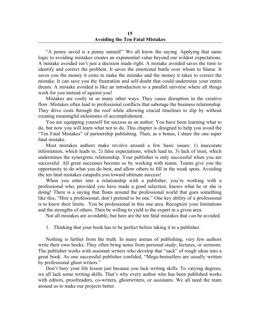"A penny saved is a penny earned!" We all know the saying. Applying that same logic to avoiding mistakes creates an exponential value beyond our wildest expectations. A mistake avoided isn't just a decision made right. A mistake avoided saves the time to identify and correct the problem. It saves the emotional battle over whom to blame. It saves you the money it costs to make the mistake and the money it takes to correct the mistake. It can save you the frustration and self-doubt that could undermine your entire dream. A mistake avoided is like an introduction to a parallel universe where all things work for you instead of against you!

Mistakes are costly in so many other ways. They cause disruption in the creative flow. Mistakes often lead to professional conflicts that sabotage the business relationship. They drive costs through the roof while allowing crucial timelines to slip by without creating meaningful milestones of accomplishment.

You are equipping yourself for success as an author. You have been learning what to do, but now you will learn what not to do. This chapter is designed to help you avoid the "Ten Fatal Mistakes" of partnership publishing. Then, as a bonus, I share the one super fatal mistake.

Most mistakes authors make revolve around a few basic issues: 1) inaccurate information, which leads to, 2) false expectations, which lead to, 3) lack of trust, which undermines the synergistic relationship. Your publisher is only successful when you are successful. All great successes become so by working with teams. Teams give you the opportunity to do what you do best, and allow others to fill in the weak spots. Avoiding the ten fatal mistakes catapults you toward ultimate success!

When you enter into a relationship with a publisher, you're working with a professional who, provided you have made a good selection, knows what he or she is doing! There is a saying that floats around the professional world that goes something like this, "Hire a professional; don't pretend to be one." One key ability of a professional is to know their limits. You be professional in this one area. Recognize your limitations and the strengths of others. Then be willing to yield to the expert in a given area.

Not all mistakes are avoidable, but here are the ten fatal mistakes that *can* be avoided.

1. Thinking that your book has to be perfect before taking it to a publisher.

Nothing is farther from the truth. In many arenas of publishing, very few authors write their own books. They often bring notes from personal study, lectures, or sermons. The publisher works with assistant writers who develop that "sack" of rough ideas into a great book. As one successful publisher confided, "Mega-bestsellers are usually written by professional ghost writers."

Don't bury your life lesson just because you lack writing skills. To varying degrees, we all lack some writing skills. That's why every author who has been published works with editors, proofreaders, co-writers, ghostwriters, or assistants. We all need the team around us to make our projects better.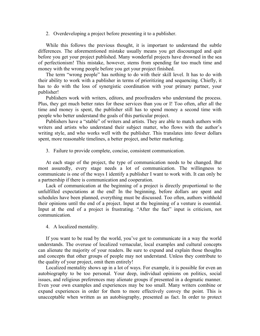2. Overdeveloping a project before presenting it to a publisher.

While this follows the previous thought, it is important to understand the subtle differences. The aforementioned mistake usually means you get discouraged and quit before you get your project published. Many wonderful projects have drowned in the sea of perfectionism! This mistake, however, stems from spending far too much time and money with the wrong people before you get your project finished.

The term "wrong people" has nothing to do with their skill level. It has to do with their ability to work with a publisher in terms of prioritizing and sequencing. Chiefly, it has to do with the loss of synergistic coordination with your primary partner, your publisher!

Publishers work with writers, editors, and proofreaders who understand the process. Plus, they get much better rates for these services than you or I! Too often, after all the time and money is spent, the publisher still has to spend money a second time with people who better understand the goals of this particular project.

Publishers have a "stable" of writers and artists. They are able to match authors with writers and artists who understand their subject matter, who flows with the author's writing style, and who works well with the publisher. This translates into fewer dollars spent, more reasonable timelines, a better project, and better marketing.

3. Failure to provide complete, concise, consistent communication.

At each stage of the project, the type of communication needs to be changed. But most assuredly, every stage needs a lot of communication. The willingness to communicate is one of the ways I identify a publisher I want to work with. It can only be a partnership if there is communication and cooperation.

Lack of communication at the beginning of a project is directly proportional to the unfulfilled expectations at the end! In the beginning, before dollars are spent and schedules have been planned, everything must be discussed. Too often, authors withhold their opinions until the end of a project. Input at the beginning of a venture is essential. Input at the end of a project is frustrating. "After the fact" input is criticism, not communication.

4. A localized mentality.

If you want to be read by the world, you've got to communicate in a way the world understands. The overuse of localized vernacular, local examples and cultural concepts can alienate the majority of your readers. Be sure to expand and explain those thoughts and concepts that other groups of people may not understand. Unless they contribute to the quality of your project, omit them entirely!

Localized mentality shows up in a lot of ways. For example, it is possible for even an autobiography to be too personal. Your deep, individual opinions on politics, social issues, and religious preferences may alienate groups if presented in a dogmatic manner. Even your own examples and experiences may be too small. Many writers combine or expand experiences in order for them to more effectively convey the point. This is unacceptable when written as an autobiography, presented as fact. In order to protect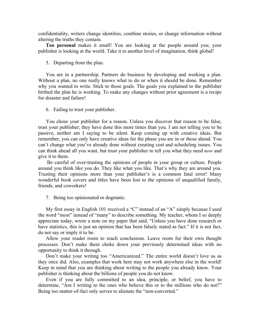confidentiality, writers change identities, combine stories, or change information without altering the truths they contain.

**Too personal** makes it small! You are looking at the people around you; your publisher is looking at the world. Take it to another level of imagination, think global!

5. Departing from the plan.

You are in a partnership. Partners do business by developing and working a plan. Without a plan, no one really knows what to do or when it should be done. Remember why you wanted to write. Stick to those goals. The goals you explained to the publisher birthed the plan he is working. To make any changes without prior agreement is a recipe for disaster and failure!

6. Failing to trust your publisher.

You chose your publisher for a reason. Unless you discover that reason to be false, trust your publisher; they have done this more times than you. I am not telling you to be passive, neither am I saying to be silent. Keep coming up with creative ideas. But remember, you can only have creative ideas for the phase you are in or those ahead. You can't change what you've already done without creating cost and scheduling issues. You can think ahead all you want, but trust your publisher to tell you what they need *now* and give it to them.

Be careful of over-trusting the opinions of people in your group or culture. People around you think like you do. They like what you like. That's why they are around you. Trusting their opinions more than your publisher's is a common fatal error! Many wonderful book covers and titles have been lost to the opinions of unqualified family, friends, and coworkers!

7. Being too opinionated or dogmatic.

My first essay in English 101 received a "C" instead of an "A" simply because I used the word "most" instead of "many" to describe something. My teacher, whom I so deeply appreciate today, wrote a note on my paper that said, "Unless you have done research or have statistics, this is just an opinion that has been falsely stated as fact." If it is not fact, do not say or imply it to be.

Allow your reader room to reach conclusions. Leave room for their own thought processes. Don't make them choke down your previously determined ideas with no opportunity to think it through.

Don't make your writing too "Americanized." The entire world doesn't love us as they once did. Also, examples that work here may not work anywhere else in the world! Keep in mind that you are thinking about writing to the people you already know. Your publisher is thinking about the billions of people you do not know.

Even if you are fully committed to an idea, principle, or belief, you have to determine, "Am I writing to the ones who believe this or to the millions who do not?" Being too matter-of-fact only serves to alienate the "non-converted."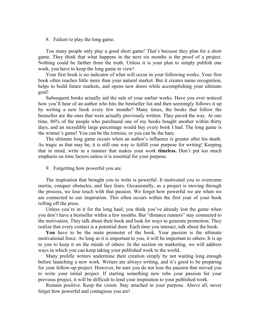8. Failure to play the long game.

Too many people only play a good short game! That's because they plan for a short game. They think that what happens in the next six months is the proof of a project. Nothing could be farther from the truth. Unless it is your plan to simply publish one work, you have to keep the long game in view!

Your first book is no indicator of what will occur in your following works. Your first book often reaches little more than your natural market. But it creates name recognition, helps to build future markets, and opens new doors while accomplishing your ultimate goal!

Subsequent books actually aid the sale of your earlier works. Have you ever noticed how you'll hear of an author who hits the bestseller list and then seemingly follows it up by writing a new book every few months? Many times, the books that follow the bestseller are the ones that were actually previously written. They paved the way. At one time, 86% of the people who purchased one of my books bought another within thirty days, and an incredibly large percentage would buy every book I had. The long game is the winner's game! You can be the tortoise, or you can be the hare.

The ultimate long game occurs when an author's influence is greater after his death. As tragic as that may be, it is still one way to fulfill your purpose for writing! Keeping that in mind, write in a manner that makes your work **timeless.** Don't put too much emphasis on time factors unless it is essential for your purpose.

9. Forgetting how powerful you are.

The inspiration that brought you to write is powerful. It motivated you to overcome inertia, conquer obstacles, and face fears. Occasionally, as a project is moving through the process, we lose touch with that passion. We forget how powerful we are when we are connected to our inspiration. This often occurs within the first year of your book rolling off the press.

Unless you're in it for the long haul, you think you've already lost the game when you don't have a bestseller within a few months. But "distance runners" stay connected to the motivation. They talk about their book and look for ways to generate promotion. They realize that every contact is a potential door. Each time you interact, talk about the book.

**You** have to be the main promoter of the book. Your passion is the ultimate motivational force. As long as it is important to you, it will be important to others. It is up to you to keep it on the minds of others. In the section on marketing, we will address ways in which you can keep taking your published work to the world.

Many prolific writers undermine their creation simply by not waiting long enough before launching a new work. Writers are always writing, and it's good to be preparing for your follow-up project. However, be sure you do not lose the passion that moved you to write your initial project. If starting something new robs your passion for your previous project, it will be difficult to lend your inspiration to your published work.

Remain positive. Keep the vision. Stay attached to your purpose. Above all, never forget how powerful and contagious you are!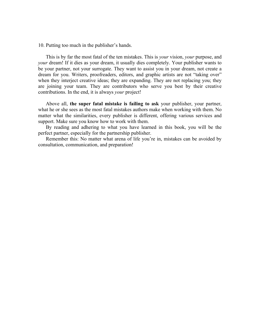10. Putting too much in the publisher's hands.

This is by far the most fatal of the ten mistakes. This is *your* vision, *your* purpose, and *your* dream! If it dies as your dream, it usually dies completely. Your publisher wants to be your partner, not your surrogate. They want to assist you in your dream, not create a dream for you. Writers, proofreaders, editors, and graphic artists are not "taking over" when they interject creative ideas; they are expanding. They are not replacing you; they are joining your team. They are contributors who serve you best by their creative contributions. In the end, it is always *your* project!

Above all, **the super fatal mistake is failing to ask** your publisher, your partner, what he or she sees as the most fatal mistakes authors make when working with them. No matter what the similarities, every publisher is different, offering various services and support. Make sure you know how to work with them.

By reading and adhering to what you have learned in this book, you will be the perfect partner, especially for the partnership publisher.

Remember this: No matter what arena of life you're in, mistakes can be avoided by consultation, communication, and preparation!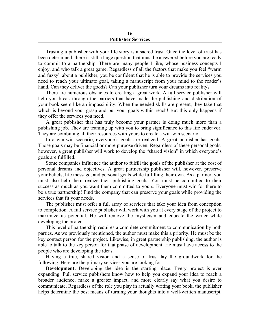#### **16 Publisher Services**

Trusting a publisher with your life story is a sacred trust. Once the level of trust has been determined, there is still a huge question that must be answered before you are ready to commit to a partnership. There are many people I like, whose business concepts I enjoy, and who talk a great game. Regardless of all the factors that make you feel "warm and fuzzy" about a publisher, you be confident that he is able to provide the services you need to reach your ultimate goal, taking a manuscript from your mind to the reader's hand. Can they deliver the goods? Can your publisher turn your dreams into reality?

There are numerous obstacles to creating a great work. A full service publisher will help you break through the barriers that have made the publishing and distribution of your book seem like an impossibility. When the needed skills are present, they take that which is beyond your grasp and put your goals within reach! But this only happens if they offer the services you need.

A great publisher that has truly become your partner is doing much more than a publishing job. They are teaming up with you to bring significance to this life endeavor. They are combining all their resources with yours to create a win-win scenario.

In a win-win scenario, everyone's goals are realized. A great publisher has goals. Those goals may be financial or more purpose driven. Regardless of these personal goals, however, a great publisher will work to develop the "shared vision" in which everyone's goals are fulfilled.

Some companies influence the author to fulfill the goals of the publisher at the cost of personal dreams and objectives. A great partnership publisher will, however, preserve your beliefs, life message, and personal goals while fulfilling their own. As a partner, you must also help them realize their publishing goals. You must be committed to their success as much as you want them committed to yours. Everyone must win for there to be a true partnership! Find the company that can preserve your goals while providing the services that fit your needs.

The publisher must offer a full array of services that take your idea from conception to completion. A full service publisher will work with you at every stage of the project to maximize its potential. He will remove the mysticism and educate the writer while developing the project.

This level of partnership requires a complete commitment to communication by both parties. As we previously mentioned, the author must make this a priority. He must be the key contact person for the project. Likewise, in great partnership publishing, the author is able to talk to the key person for that phase of development. He must have access to the people who are developing the ideas.

Having a true, shared vision and a sense of trust lay the groundwork for the following. Here are the primary services you are looking for:

**Development.** Developing the idea is the starting place. Every project is ever expanding. Full service publishers know how to help you expand your idea to reach a broader audience, make a greater impact, and more clearly say what you desire to communicate. Regardless of the role you play in actually writing your book, the publisher helps determine the best means of turning your thoughts into a well-written manuscript.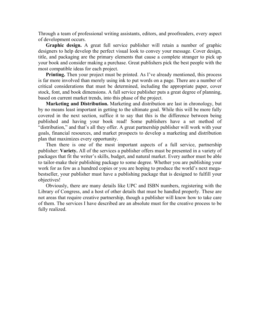Through a team of professional writing assistants, editors, and proofreaders, every aspect of development occurs.

**Graphic design.** A great full service publisher will retain a number of graphic designers to help develop the perfect visual look to convey your message. Cover design, title, and packaging are the primary elements that cause a complete stranger to pick up your book and consider making a purchase. Great publishers pick the best people with the most compatible ideas for each project.

**Printing.** Then your project must be printed. As I've already mentioned, this process is far more involved than merely using ink to put words on a page. There are a number of critical considerations that must be determined, including the appropriate paper, cover stock, font, and book dimensions. A full service publisher puts a great degree of planning, based on current market trends, into this phase of the project.

**Marketing and Distribution.** Marketing and distribution are last in chronology, but by no means least important in getting to the ultimate goal. While this will be more fully covered in the next section, suffice it to say that this is the difference between being published and having your book read! Some publishers have a set method of "distribution," and that's all they offer. A great partnership publisher will work with your goals, financial resources, and market prospects to develop a marketing and distribution plan that maximizes every opportunity.

Then there is one of the most important aspects of a full service, partnership publisher: **Variety.** All of the services a publisher offers must be presented in a variety of packages that fit the writer's skills, budget, and natural market. Every author must be able to tailor-make their publishing package to some degree. Whether you are publishing your work for as few as a hundred copies or you are hoping to produce the world's next megabestseller, your publisher must have a publishing package that is designed to fulfill your objectives!

Obviously, there are many details like UPC and ISBN numbers, registering with the Library of Congress, and a host of other details that must be handled properly. These are not areas that require creative partnership, though a publisher will know how to take care of them. The services I have described are an absolute must for the creative process to be fully realized.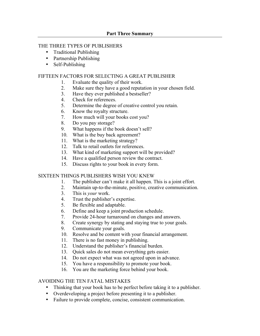# THE THREE TYPES OF PUBLISHERS

- Traditional Publishing
- Partnership Publishing
- Self-Publishing

# FIFTEEN FACTORS FOR SELECTING A GREAT PUBLISHER

- 1. Evaluate the quality of their work.
- 2. Make sure they have a good reputation in your chosen field.
- 3. Have they ever published a bestseller?
- 4. Check for references.
- 5. Determine the degree of creative control you retain.
- 6. Know the royalty structure.
- 7. How much will your books cost you?
- 8. Do you pay storage?
- 9. What happens if the book doesn't sell?
- 10. What is the buy back agreement?
- 11. What is the marketing strategy?
- 12. Talk to retail outlets for references.
- 13. What kind of marketing support will be provided?
- 14. Have a qualified person review the contract.
- 15. Discuss rights to your book in every form.

# SIXTEEN THINGS PUBLISHERS WISH YOU KNEW

- 1. The publisher can't make it all happen. This is a joint effort.
- 2. Maintain up-to-the-minute, positive, creative communication.
- 3. This is *your* work.
- 4. Trust the publisher's expertise.
- 5. Be flexible and adaptable.
- 6. Define and keep a joint production schedule.
- 7. Provide 24-hour turnaround on changes and answers.
- 8. Create synergy by stating and staying true to your goals.
- 9. Communicate your goals.
- 10. Resolve and be content with your financial arrangement.
- 11. There is no fast money in publishing.
- 12. Understand the publisher's financial burden.
- 13. Quick sales do not mean everything gets easier.
- 14. Do not expect what was not agreed upon in advance.
- 15. You have a responsibility to promote your book.
- 16. You are the marketing force behind your book.

# AVOIDING THE TEN FATAL MISTAKES

- Thinking that your book has to be perfect before taking it to a publisher.
- Overdeveloping a project before presenting it to a publisher.
- Failure to provide complete, concise, consistent communication.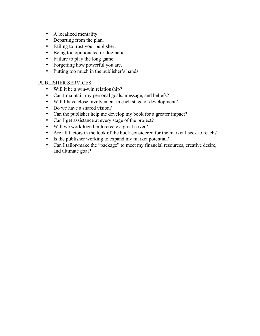- A localized mentality.
- Departing from the plan.
- Failing to trust your publisher.
- Being too opinionated or dogmatic.
- Failure to play the long game.
- Forgetting how powerful you are.
- Putting too much in the publisher's hands.

# PUBLISHER SERVICES

- Will it be a win-win relationship?
- Can I maintain my personal goals, message, and beliefs?
- Will I have close involvement in each stage of development?
- Do we have a shared vision?
- Can the publisher help me develop my book for a greater impact?
- Can I get assistance at every stage of the project?
- Will we work together to create a great cover?
- Are all factors in the look of the book considered for the market I seek to reach?
- Is the publisher working to expand my market potential?
- Can I tailor-make the "package" to meet my financial resources, creative desire, and ultimate goal?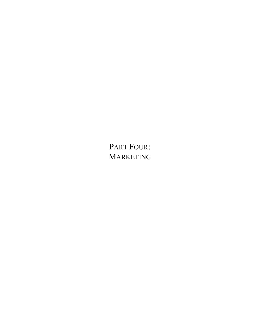PART FOUR: MARKETING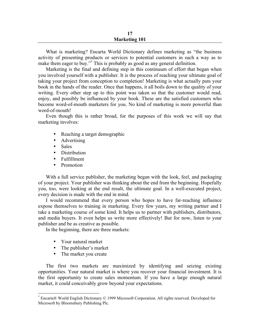What is marketing? Encarta World Dictionary defines marketing as "the business activity of presenting products or services to potential customers in such a way as to make them eager to buy."<sup>\*</sup> This is probably as good as any general definition.

Marketing is the final and defining step in this continuum of effort that began when you involved yourself with a publisher. It is the process of reaching your ultimate goal of taking your project from conception to completion! Marketing is what actually puts your book in the hands of the reader. Once that happens, it all boils down to the quality of your writing. Every other step up to this point was taken so that the customer would read, enjoy, and possibly be influenced by your book. These are the satisfied customers who become word-of-mouth marketers for you. No kind of marketing is more powerful than word-of-mouth!

Even though this is rather broad, for the purposes of this work we will say that marketing involves:

- Reaching a target demographic
- Advertising
- Sales
- **Distribution**
- Fulfillment
- Promotion

With a full service publisher, the marketing began with the look, feel, and packaging of your project. Your publisher was thinking about the end from the beginning. Hopefully you, too, were looking at the end result, the ultimate goal. In a well-executed project, every decision is made with the end in mind.

I would recommend that every person who hopes to have far-reaching influence expose themselves to training in marketing. Every few years, my writing partner and I take a marketing course of some kind. It helps us to partner with publishers, distributors, and media buyers. It even helps us write more effectively! But for now, listen to your publisher and be as creative as possible.

In the beginning, there are three markets:

- Your natural market
- The publisher's market
- The market you create

The first two markets are maximized by identifying and seizing existing opportunities. Your natural market is where you recover your financial investment. It is the first opportunity to create sales momentum. If you have a large enough natural market, it could conceivably grow beyond your expectations.

 <sup>\*</sup> Encarta® World English Dictionary © 1999 Microsoft Corporation. All rights reserved. Developed for Microsoft by Bloomsbury Publishing Plc.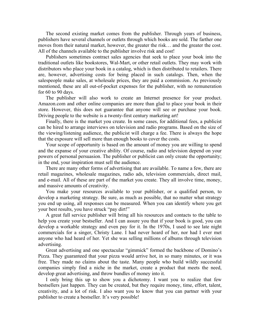The second existing market comes from the publisher. Through years of business, publishers have several channels or outlets through which books are sold. The farther one moves from their natural market, however, the greater the risk… and the greater the cost. All of the channels available to the publisher involve risk and cost!

Publishers sometimes contract sales agencies that seek to place your book into the traditional outlets like bookstores, Wal-Mart, or other retail outlets. They may work with distributors who place your book in a catalog, which is then distributed to retailers. There are, however, advertising costs for being placed in such catalogs. Then, when the salespeople make sales, at wholesale prices, they are paid a commission. As previously mentioned, these are all out-of-pocket expenses for the publisher, with no remuneration for 60 to 90 days.

The publisher will also work to create an Internet presence for your product. Amazon.com and other online companies are more than glad to place your book in their store. However, this does not guarantee that anyone will see or purchase your book. Driving people to the website is a twenty-first century marketing art!

Finally, there is the market you create. In some cases, for additional fees, a publicist can be hired to arrange interviews on television and radio programs. Based on the size of the viewing/listening audience, the publicist will charge a fee. There is always the hope that the exposure will sell more than enough books to cover the costs.

Your scope of opportunity is based on the amount of money you are willing to spend and the expanse of your creative ability. Of course, radio and television depend on your powers of personal persuasion. The publisher or publicist can only create the opportunity; in the end, your inspiration must sell the audience.

There are many other forms of advertising that are available. To name a few, there are retail magazines, wholesale magazines, radio ads, television commercials, direct mail, and e-mail. All of these are part of the market you create. They all involve time, money, and massive amounts of creativity.

You make your resources available to your publisher, or a qualified person, to develop a marketing strategy. Be sure, as much as possible, that no matter what strategy you end up using, all responses can be measured. When you can identify where you get your best results, you have struck "pay dirt!"

A great full service publisher will bring all his resources and contacts to the table to help you create your bestseller. And I can assure you that if your book is good, you can develop a workable strategy and even pay for it. In the 1970s, I used to see late night commercials for a singer, Christy Lane. I had never heard of her, nor had I ever met anyone who had heard of her. Yet she was selling millions of albums through television advertising.

Great advertising and one spectacular "gimmick" formed the backbone of Domino's Pizza. They guaranteed that your pizza would arrive hot, in so many minutes, or it was free. They made no claims about the taste. Many people who build wildly successful companies simply find a niche in the market, create a product that meets the need, develop great advertising, and throw bundles of money into it.

I only bring this up to show you a dichotomy. I want you to realize that few bestsellers just happen. They can be created, but they require money, time, effort, talent, creativity, and a lot of risk. I also want you to know that you can partner with your publisher to create a bestseller. It's very possible!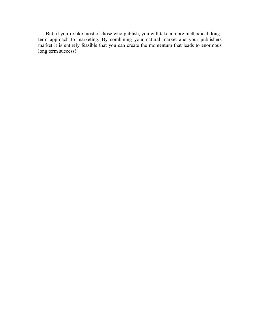But, if you're like most of those who publish, you will take a more methodical, longterm approach to marketing. By combining your natural market and your publishers market it is entirely feasible that you can create the momentum that leads to enormous long term success!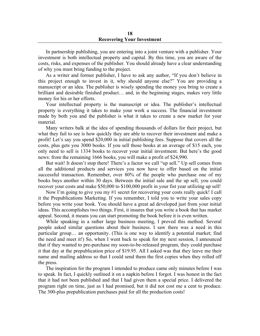In partnership publishing, you are entering into a joint venture with a publisher. Your investment is both intellectual property and capital. By this time, you are aware of the costs, risks, and expenses of the publisher. You should already have a clear understanding of why you must bring funding to the project.

As a writer and former publisher, I have to ask any author, "If you don't believe in this project enough to invest in it, why should anyone else?" You are providing a manuscript or an idea. The publisher is wisely spending the money you bring to create a brilliant and desirable finished product… and, in the beginning stages, makes very little money for his or her efforts.

Your intellectual property is the manuscript or idea. The publisher's intellectual property is everything it takes to make your work a success. The financial investment made by both you and the publisher is what it takes to create a new market for your material.

Many writers balk at the idea of spending thousands of dollars for their project, but what they fail to see is how quickly they are able to recover their investment and make a profit! Let's say you spend \$20,000 in initial publishing fees. Suppose that covers all the costs, plus gets you 3000 books. If you sell those books at an average of \$15 each, you only need to sell is 1334 books to recover your initial investment. But here's the good news: from the remaining 1666 books, you will make a profit of \$24,990.

But wait! It doesn't stop there! There's a factor we call "up sell." Up sell comes from all the additional products and services you now have to offer based on the initial successful transaction. Remember, over 80% of the people who purchase one of my books buys another within 30 days. Between the initial sale and the up sell, you could recover your costs and make \$50,000 to \$100,000 profit in your fist year utilizing up sell!

Now I'm going to give you my #1 secret for recovering your costs really quick! I call it the Prepublications Marketing. If you remember, I told you to write your sales copy before you write your book. You should have a great ad developed just from your initial ideas. This accomplishes two things. First, it insures that you write a book that has market appeal. Second, it means you can start promoting the book before it is even written.

While speaking in a rather large business meeting, I proved this method. Several people asked similar questions about their business. I saw there was a need in this particular group… an opportunity. (This is one way to identify a potential market; find the need and meet it!) So, when I went back to speak for my next session, I announced that if they wanted to pre-purchase my soon-to-be-released program, they could purchase it that day at the prepublication price of \$19.95. All I asked was that they leave me their name and mailing address so that I could send them the first copies when they rolled off the press.

The inspiration for the program I intended to produce came only minutes before I was to speak. In fact, I quickly outlined it on a napkin before I forgot. I was honest in the fact that it had not been published and that I had given them a special price. I delivered the program right on time, just as I had promised, but it did not cost me a cent to produce. The 300-plus prepublication purchases paid for all the production costs!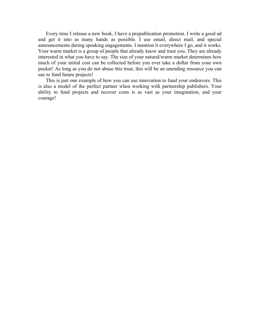Every time I release a new book, I have a prepublication promotion. I write a good ad and get it into as many hands as possible. I use email, direct mail, and special announcements during speaking engagements. I mention it everywhere I go, and it works. Your warm market is a group of people that already know and trust you. They are already interested in what you have to say. The size of your natural/warm market determines how much of your initial cost can be collected before you ever take a dollar from your own pocket! As long as you do not abuse this trust, this will be an unending resource you can use to fund future projects!

This is just one example of how you can use innovation to fund your endeavors. This is also a model of the perfect partner when working with partnership publishers. Your ability to fund projects and recover costs is as vast as your imagination, and your courage!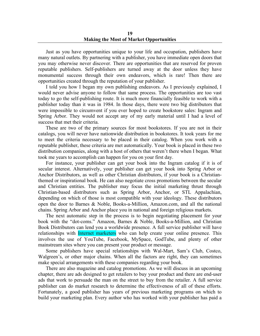Just as you have opportunities unique to your life and occupation, publishers have many natural outlets. By partnering with a publisher, you have immediate open doors that you may otherwise never discover. There are opportunities that are reserved for proven reputable publishers. Self-publishers are turned away at the door unless they have monumental success through their own endeavors, which is rare! Then there are opportunities created through the reputation of your publisher.

I told you how I began my own publishing endeavors. As I previously explained, I would never advise anyone to follow that same process. The opportunities are too vast today to go the self-publishing route. It is much more financially feasible to work with a publisher today than it was in 1984. In those days, there were two big distributors that were impossible to circumvent if you ever hoped to create bookstore sales: Ingram and Spring Arbor. They would not accept any of my early material until I had a level of success that met their criteria.

These are two of the primary sources for most bookstores. If you are not in their catalogs, you will never have nationwide distribution in bookstores. It took years for me to meet the criteria necessary to be placed in their catalog. When you work with a reputable publisher, these criteria are met automatically. Your book is placed in these two distribution companies, along with a host of others that weren't there when I began. What took me years to accomplish can happen for you on your first day.

For instance, your publisher can get your book into the Ingram catalog if it is of secular interest. Alternatively, your publisher can get your book into Spring Arbor or Anchor Distributors, as well as other Christian distributors, if your book is a Christianthemed or inspirational book. He can also negotiate cross promotions between the secular and Christian entities. The publisher may focus the initial marketing thrust through Christian-based distributors such as Spring Arbor, Anchor, or STL Appalachian, depending on which of those is most compatible with your ideology. These distributors open the door to Barnes & Noble, Books-a-Million, Amazon.com, and all the national chains. Spring Arbor and Anchor place you in national and foreign religious markets.

The next automatic step in the process is to begin negotiating placement for your book with the "dot-coms." Amazon, Barnes & Noble, Books-a-Million, and Christian Book Distributors can lend you a worldwide presence. A full service publisher will have relationships with *Internet marketers* who can help create your online presence. This involves the use of YouTube, Facebook, MySpace, GodTube, and plenty of other mainstream sites where you can present your product or message.

Some publishers have special relationships with Wal-Mart, Sam's Club, Costco, Walgreen's, or other major chains. When all the factors are right, they can sometimes make special arrangements with these companies regarding your book.

There are also magazine and catalog promotions. As we will discuss in an upcoming chapter, there are ads designed to get retailers to buy your product and there are end-user ads that work to persuade the man on the street to buy from the retailer. A full service publisher can do market research to determine the effectiveness of all of these efforts. Fortunately, a good publisher has years of previous marketing programs on which to build your marketing plan. Every author who has worked with your publisher has paid a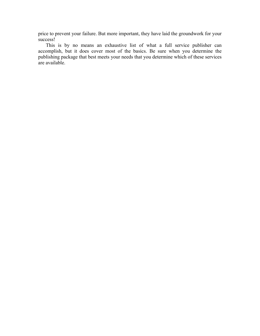price to prevent your failure. But more important, they have laid the groundwork for your success!

This is by no means an exhaustive list of what a full service publisher can accomplish, but it does cover most of the basics. Be sure when you determine the publishing package that best meets your needs that you determine which of these services are available.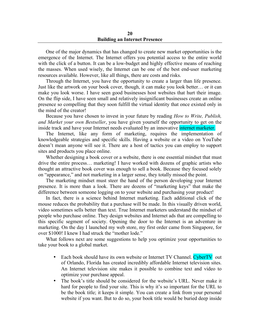**20 Building an Internet Presence**

One of the major dynamics that has changed to create new market opportunities is the emergence of the Internet. The Internet offers you potential access to the entire world with the click of a button. It can be a low-budget and highly effective means of reaching the masses. When used wisely, the Internet can be one of the best end-user marketing resources available. However, like all things, there are costs and risks.

Through the Internet, you have the opportunity to create a larger than life presence. Just like the artwork on your book cover, though, it can make you look better… or it can make you look worse. I have seen good businesses host websites that hurt their image. On the flip side, I have seen small and relatively insignificant businesses create an online presence so compelling that they soon fulfill the virtual identity that once existed only in the mind of the creator!

Because you have chosen to invest in your future by reading *How to Write, Publish, and Market your own Bestseller*, you have given yourself the opportunity to get on the inside track and have your Internet needs evaluated by an innovative internet marketer.

The Internet, like any form of marketing, requires the implementation of knowledgeable strategies and specific skills. Having a website or a video on YouTube doesn't mean anyone will see it. There are a host of tactics you can employ to support sites and products you place online.

Whether designing a book cover or a website, there is one essential mindset that must drive the entire process… marketing! I have worked with dozens of graphic artists who thought an attractive book cover was enough to sell a book. Because they focused solely on "appearance," and not marketing in a larger sense, they totally missed the point.

The marketing mindset must steer the hand of the person developing your Internet presence. It is more than a look. There are dozens of "marketing keys" that make the difference between someone logging on to your website and purchasing your product!

In fact, there is a science behind Internet marketing. Each additional click of the mouse reduces the probability that a purchase will be made. In this visually driven world, video sometimes sells better than text. True Internet marketers understand the mindset of people who purchase online. They design websites and Internet ads that are compelling to this specific segment of society. Opening the door to the Internet is an adventure in marketing. On the day I launched my web store, my first order came from Singapore, for over \$1000! I knew I had struck the "mother lode."

What follows next are some suggestions to help you optimize your opportunities to take your book to a global market.

- Each book should have its own website or Internet TV Channel. CyberTV out of Orlando, Florida has created incredibly affordable Internet television sites. An Internet television site makes it possible to combine text and video to optimize your purchase appeal.
- The book's title should be considered for the website's URL. Never make it hard for people to find your site. This is why it's so important for the URL to be the book title; it keeps it simple. You can create a link from your personal website if you want. But to do so, your book title would be buried deep inside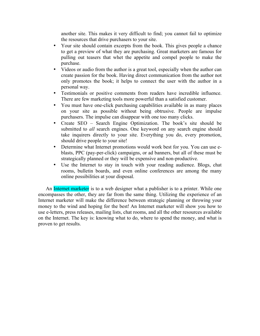another site. This makes it very difficult to find; you cannot fail to optimize the resources that drive purchasers to your site.

- Your site should contain excerpts from the book. This gives people a chance to get a preview of what they are purchasing. Great marketers are famous for pulling out teasers that whet the appetite and compel people to make the purchase.
- Videos or audio from the author is a great tool, especially when the author can create passion for the book. Having direct communication from the author not only promotes the book; it helps to connect the user with the author in a personal way.
- Testimonials or positive comments from readers have incredible influence. There are few marketing tools more powerful than a satisfied customer.
- You must have one-click purchasing capabilities available in as many places on your site as possible without being obtrusive. People are impulse purchasers. The impulse can disappear with one too many clicks.
- Create SEO Search Engine Optimization. The book's site should be submitted to *all* search engines. One keyword on any search engine should take inquirers directly to your site. Everything you do, every promotion, should drive people to your site!
- Determine what Internet promotions would work best for you. You can use eblasts, PPC (pay-per-click) campaigns, or ad banners, but all of these must be strategically planned or they will be expensive and non-productive.
- Use the Internet to stay in touch with your reading audience. Blogs, chat rooms, bulletin boards, and even online conferences are among the many online possibilities at your disposal.

An Internet marketer is to a web designer what a publisher is to a printer. While one encompasses the other, they are far from the same thing. Utilizing the experience of an Internet marketer will make the difference between strategic planning or throwing your money to the wind and hoping for the best! An Internet marketer will show you how to use e-letters, press releases, mailing lists, chat rooms, and all the other resources available on the Internet. The key is: knowing what to do, where to spend the money, and what is proven to get results.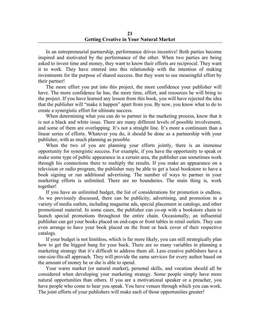In an entrepreneurial partnership, performance drives incentive! Both parties become inspired and motivated by the performance of the other. When two parties are being asked to invest time and money, they want to know their efforts are reciprocal. They want it to work. They have entered into this relationship with the intention of making investments for the purpose of shared success. But they want to see meaningful effort by their partner!

The more effort you put into this project, the more confidence your publisher will have. The more confidence he has, the more time, effort, and resources he will bring to the project. If you have learned any lesson from this book, you will have rejected the idea that the publisher will "make it happen" apart from you. By now, you know what to do to create a synergistic effort for ultimate success.

When determining what you can do to partner in the marketing process, know that it is not a black and white issue. There are many different levels of possible involvement, and some of them are overlapping. It's not a straight line. It's more a continuum than a linear series of efforts. Whatever you do, it should be done as a partnership with your publisher, with as much planning as possible.

When the two of you are planning your efforts jointly, there is an immense opportunity for synergistic success. For example, if you have the opportunity to speak or make some type of public appearance in a certain area, the publisher can sometimes work through his connections there to multiply the results. If you make an appearance on a television or radio program, the publisher may be able to get a local bookstore to have a book signing or run additional advertising. The number of ways to partner in your marketing efforts is unlimited. There are no boundaries. The main thing is, work together!

If you have an unlimited budget, the list of considerations for promotion is endless. As we previously discussed, there can be publicity, advertising, and promotion in a variety of media outlets, including magazine ads, special placement in catalogs, and other promotional material. In some cases, the publisher can co-op with a bookstore chain to launch special promotions throughout the entire chain. Occasionally, an influential publisher can get your books placed on end-caps or front tables in retail outlets. They can even arrange to have your book placed on the front or back cover of their respective catalogs.

If your budget is not limitless, which is far more likely, you can still strategically plan how to get the biggest bang for your buck. There are so many variables in planning a marketing strategy that it's difficult to address them all. Less creative publishers have a one-size-fits-all approach. They will provide the same services for every author based on the amount of money he or she is able to spend.

Your warm market (or natural market), personal skills, and vocation should all be considered when developing your marketing strategy. Some people simply have more natural opportunities than others. If you are a motivational speaker or a preacher, you have people who come to hear you speak. You have venues through which you can work. The joint efforts of your publishers will make each of those opportunities greater!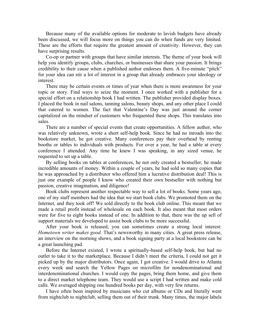Because many of the available options for moderate to lavish budgets have already been discussed, we will focus more on things you can do when funds are very limited. These are the efforts that require the greatest amount of creativity. However, they can have surprising results.

Co-op or partner with groups that have similar interests. The theme of your book will help you identify groups, clubs, churches, or businesses that share your passion. It brings credibility to their cause when a published author endorses them. A five-minute "pitch" for your idea can stir a lot of interest in a group that already embraces your ideology or interest.

There may be certain events or times of year when there is more awareness for your topic or story. Find ways to seize the moment. I once worked with a publisher for a special effort on a relationship book I had written. The publisher provided display boxes. I placed the book in nail salons, tanning salons, beauty shops, and any other place I could that catered to women. The fact that Valentine's Day was just around the corner capitalized on the mindset of customers who frequented these shops. This translates into sales.

There are a number of special events that create opportunities. A fellow author, who was relatively unknown, wrote a short self-help book. Since he had no inroads into the bookstore market, he got creative. Many conferences pay their overhead by renting booths or tables to individuals with products. For over a year, he had a table at every conference I attended. Any time he knew I was speaking, in any sized venue, he requested to set up a table.

By selling books on tables at conferences, he not only created a bestseller, he made incredible amounts of money. Within a couple of years, he had sold so many copies that he was approached by a distributor who offered him a lucrative distribution deal! This is just one example of people I know who created their own bestseller with nothing but passion, creative imagination, and diligence!

Book clubs represent another respectable way to sell a lot of books. Some years ago, one of my staff members had the idea that we start book clubs. We promoted them on the Internet, and they took off! We sold directly to the book club online. This meant that we made a retail profit instead of wholesale on each book. It also meant that most orders were for five to eight books instead of one. In addition to that, there was the up sell of support materials we developed to assist book clubs to be more successful.

After your book is released, you can sometimes create a strong local interest: *Hometown writer makes good.* That's newsworthy in many cities. A great press release, an interview on the morning shows, and a book signing party at a local bookstore can be a great launching pad.

Before the Internet existed, I wrote a spiritually-based self-help book, but had no outlet to take it to the marketplace. Because I didn't meet the criteria, I could not get it picked up by the major distributors. Once again, I got creative. I would drive to Atlanta every week and search the Yellow Pages on microfilm for nondenominational and interdenominational churches. I would copy the pages, bring them home, and give them to a direct market telephone team. They would use a script I had written and make cold calls. We averaged shipping one hundred books per day, with very few returns.

I have often been inspired by musicians who cut albums or CDs and literally went from nightclub to nightclub, selling them out of their trunk. Many times, the major labels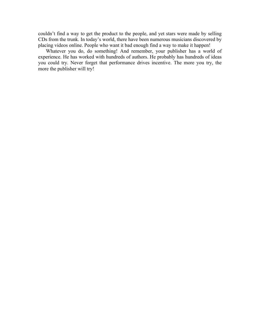couldn't find a way to get the product to the people, and yet stars were made by selling CDs from the trunk. In today's world, there have been numerous musicians discovered by placing videos online. People who want it bad enough find a way to make it happen!

Whatever you do, do something! And remember, your publisher has a world of experience. He has worked with hundreds of authors. He probably has hundreds of ideas you could try. Never forget that performance drives incentive. The more you try, the more the publisher will try!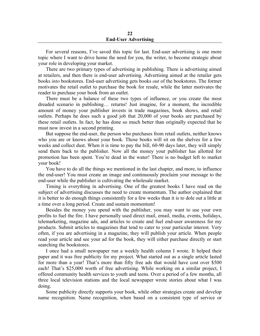#### **22 End-User Advertising**

For several reasons, I've saved this topic for last. End-user advertising is one more topic where I want to drive home the need for you, the writer, to become strategic about your role in developing your market.

There are two primary types of advertising in publishing. There is advertising aimed at retailers, and then there is end-user advertising. Advertising aimed at the retailer gets books *into* bookstores. End-user advertising gets books *out* of the bookstores. The former motivates the retail outlet to purchase the book for resale, while the latter motivates the reader to purchase your book from an outlet.

There must be a balance of these two types of influence, or you create the most dreaded scenario in publishing… returns! Just imagine, for a moment, the incredible amount of money your publisher invests in trade magazines, book shows, and retail outlets. Perhaps he does such a good job that 20,000 of your books are purchased by these retail outlets. In fact, he has done so much better than originally expected that he must now invest in a second printing.

But suppose the end-user, the person who purchases from retail outlets, neither knows who you are or knows about your book. Those books will sit on the shelves for a few weeks and collect dust. When it is time to pay the bill, 60-90 days later, they will simply send them back to the publisher. Now all the money your publisher has allotted for promotion has been spent. You're dead in the water! There is no budget left to market your book!

You have to do all the things we mentioned in the last chapter, and more, to influence the end-user! You must create an image and continuously proclaim your message to the end-user while the publisher is cultivating the wholesale market.

Timing is everything in advertising. One of the greatest books I have read on the subject of advertising discusses the need to create momentum. The author explained that it is better to do enough things consistently for a few weeks than it is to dole out a little at a time over a long period. Create and sustain momentum!

Besides the money you spend with the publisher, you may want to use your own profits to fuel the fire. I have personally used direct mail, email, media, events, holidays, telemarketing, magazine ads, and articles to create and fuel end-user awareness for my products. Submit articles to magazines that tend to cater to your particular interest. Very often, if you are advertising in a magazine, they will publish your article. When people read your article and see your ad for the book, they will either purchase directly or start searching the bookstores.

I once had a small newspaper run a weekly health column I wrote. It helped their paper and it was free publicity for my project. What started out as a single article lasted for more than a year! That's more than fifty free ads that would have cost over \$500 each! That's \$25,000 worth of free advertising. While working on a similar project, I offered community health services to youth and teens. Over a period of a few months, all three local television stations and the local newspaper wrote stories about what I was doing.

Some publicity directly supports your book, while other strategies create and develop name recognition. Name recognition, when based on a consistent type of service or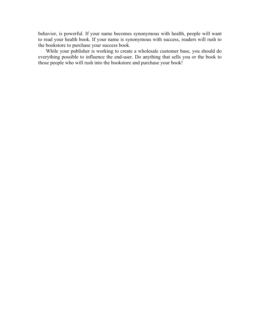behavior, is powerful. If your name becomes synonymous with health, people will want to read your health book. If your name is synonymous with success, readers will rush to the bookstore to purchase your success book.

While your publisher is working to create a wholesale customer base, you should do everything possible to influence the end-user. Do anything that sells you or the book to those people who will rush into the bookstore and purchase your book!